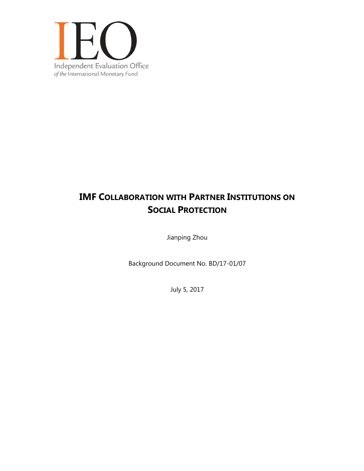

# **IMF COLLABORATION WITH PARTNER INSTITUTIONS ON SOCIAL PROTECTION**

Jianping Zhou

Background Document No. BD/17-01/07

July 5, 2017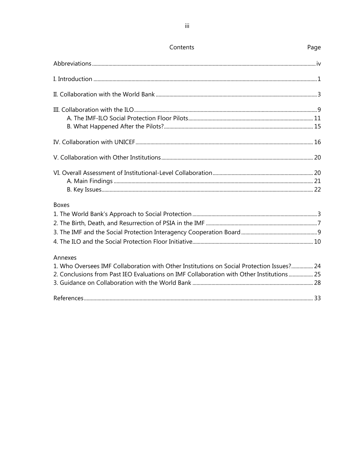| Contents                                                                                  | Page |
|-------------------------------------------------------------------------------------------|------|
|                                                                                           |      |
|                                                                                           |      |
|                                                                                           |      |
|                                                                                           |      |
|                                                                                           |      |
|                                                                                           |      |
|                                                                                           |      |
|                                                                                           |      |
|                                                                                           |      |
|                                                                                           |      |
|                                                                                           |      |
| <b>Boxes</b>                                                                              |      |
|                                                                                           |      |
|                                                                                           |      |
|                                                                                           |      |
|                                                                                           |      |
| Annexes                                                                                   |      |
| 1. Who Oversees IMF Collaboration with Other Institutions on Social Protection Issues? 24 |      |
| 2. Conclusions from Past IEO Evaluations on IMF Collaboration with Other Institutions 25  |      |
|                                                                                           |      |
|                                                                                           |      |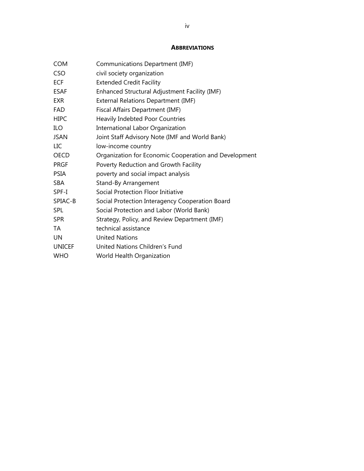#### **ABBREVIATIONS**

| <b>COM</b>    | Communications Department (IMF)                       |
|---------------|-------------------------------------------------------|
| <b>CSO</b>    | civil society organization                            |
| <b>ECF</b>    | <b>Extended Credit Facility</b>                       |
| <b>ESAF</b>   | Enhanced Structural Adjustment Facility (IMF)         |
| <b>EXR</b>    | External Relations Department (IMF)                   |
| <b>FAD</b>    | Fiscal Affairs Department (IMF)                       |
| <b>HIPC</b>   | Heavily Indebted Poor Countries                       |
| ILO           | International Labor Organization                      |
| <b>JSAN</b>   | Joint Staff Advisory Note (IMF and World Bank)        |
| LIC           | low-income country                                    |
| <b>OECD</b>   | Organization for Economic Cooperation and Development |
| <b>PRGF</b>   | Poverty Reduction and Growth Facility                 |
| <b>PSIA</b>   | poverty and social impact analysis                    |
| <b>SBA</b>    | Stand-By Arrangement                                  |
| SPF-I         | Social Protection Floor Initiative                    |
| SPIAC-B       | Social Protection Interagency Cooperation Board       |
| <b>SPL</b>    | Social Protection and Labor (World Bank)              |
| <b>SPR</b>    | Strategy, Policy, and Review Department (IMF)         |
| TA            | technical assistance                                  |
| UN            | <b>United Nations</b>                                 |
| <b>UNICEF</b> | United Nations Children's Fund                        |
| <b>WHO</b>    | World Health Organization                             |
|               |                                                       |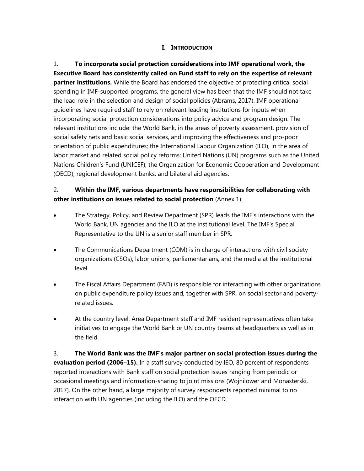### **I. INTRODUCTION**

1. **To incorporate social protection considerations into IMF operational work, the Executive Board has consistently called on Fund staff to rely on the expertise of relevant partner institutions.** While the Board has endorsed the objective of protecting critical social spending in IMF-supported programs, the general view has been that the IMF should not take the lead role in the selection and design of social policies (Abrams, 2017). IMF operational guidelines have required staff to rely on relevant leading institutions for inputs when incorporating social protection considerations into policy advice and program design. The relevant institutions include: the World Bank, in the areas of poverty assessment, provision of social safety nets and basic social services, and improving the effectiveness and pro-poor orientation of public expenditures; the International Labour Organization (ILO), in the area of labor market and related social policy reforms; United Nations (UN) programs such as the United Nations Children's Fund (UNICEF); the Organization for Economic Cooperation and Development (OECD); regional development banks; and bilateral aid agencies.

# 2. **Within the IMF, various departments have responsibilities for collaborating with other institutions on issues related to social protection** (Annex 1):

- The Strategy, Policy, and Review Department (SPR) leads the IMF's interactions with the World Bank, UN agencies and the ILO at the institutional level. The IMF's Special Representative to the UN is a senior staff member in SPR.
- The Communications Department (COM) is in charge of interactions with civil society organizations (CSOs), labor unions, parliamentarians, and the media at the institutional level.
- The Fiscal Affairs Department (FAD) is responsible for interacting with other organizations on public expenditure policy issues and, together with SPR, on social sector and povertyrelated issues.
- At the country level, Area Department staff and IMF resident representatives often take initiatives to engage the World Bank or UN country teams at headquarters as well as in the field.

3. **The World Bank was the IMF's major partner on social protection issues during the evaluation period (2006–15).** In a staff survey conducted by IEO, 80 percent of respondents reported interactions with Bank staff on social protection issues ranging from periodic or occasional meetings and information-sharing to joint missions (Wojnilower and Monasterski, 2017). On the other hand, a large majority of survey respondents reported minimal to no interaction with UN agencies (including the ILO) and the OECD.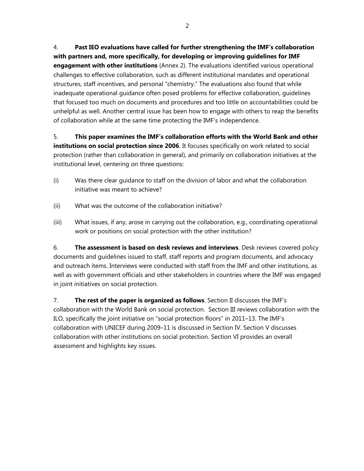4. **Past IEO evaluations have called for further strengthening the IMF's collaboration with partners and, more specifically, for developing or improving guidelines for IMF engagement with other institutions** (Annex 2). The evaluations identified various operational challenges to effective collaboration, such as different institutional mandates and operational structures, staff incentives, and personal "chemistry." The evaluations also found that while inadequate operational guidance often posed problems for effective collaboration, guidelines that focused too much on documents and procedures and too little on accountabilities could be unhelpful as well. Another central issue has been how to engage with others to reap the benefits of collaboration while at the same time protecting the IMF's independence.

5. **This paper examines the IMF's collaboration efforts with the World Bank and other institutions on social protection since 2006**. It focuses specifically on work related to social protection (rather than collaboration in general), and primarily on collaboration initiatives at the institutional level, centering on three questions:

- (i) Was there clear guidance to staff on the division of labor and what the collaboration initiative was meant to achieve?
- (ii) What was the outcome of the collaboration initiative?
- (iii) What issues, if any, arose in carrying out the collaboration, e.g., coordinating operational work or positions on social protection with the other institution?

6. **The assessment is based on desk reviews and interviews**. Desk reviews covered policy documents and guidelines issued to staff, staff reports and program documents, and advocacy and outreach items. Interviews were conducted with staff from the IMF and other institutions, as well as with government officials and other stakeholders in countries where the IMF was engaged in joint initiatives on social protection.

7. **The rest of the paper is organized as follows**. Section II discusses the IMF's collaboration with the World Bank on social protection. Section III reviews collaboration with the ILO, specifically the joint initiative on "social protection floors" in 2011–13. The IMF's collaboration with UNICEF during 2009–11 is discussed in Section IV. Section V discusses collaboration with other institutions on social protection. Section VI provides an overall assessment and highlights key issues.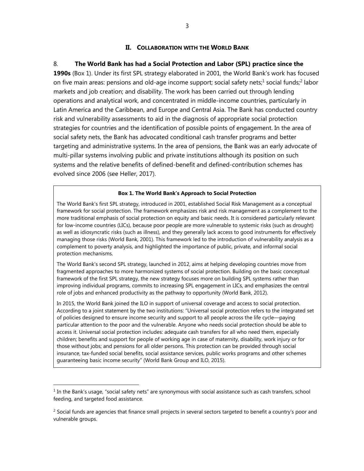#### **II. COLLABORATION WITH THE WORLD BANK**

8. **The World Bank has had a Social Protection and Labor (SPL) practice since the 1990s** (Box 1). Under its first SPL strategy elaborated in 2001, the World Bank's work has focused on five main areas: pensions and old-age income support; social safety nets;<sup>1</sup> social funds;<sup>2</sup> labor markets and job creation; and disability. The work has been carried out through lending operations and analytical work, and concentrated in middle-income countries, particularly in Latin America and the Caribbean, and Europe and Central Asia. The Bank has conducted country risk and vulnerability assessments to aid in the diagnosis of appropriate social protection strategies for countries and the identification of possible points of engagement. In the area of social safety nets, the Bank has advocated conditional cash transfer programs and better targeting and administrative systems. In the area of pensions, the Bank was an early advocate of multi-pillar systems involving public and private institutions although its position on such systems and the relative benefits of defined-benefit and defined-contribution schemes has evolved since 2006 (see Heller, 2017).

#### **Box 1. The World Bank's Approach to Social Protection**

The World Bank's first SPL strategy, introduced in 2001, established Social Risk Management as a conceptual framework for social protection. The framework emphasizes risk and risk management as a complement to the more traditional emphasis of social protection on equity and basic needs. It is considered particularly relevant for low-income countries (LICs), because poor people are more vulnerable to systemic risks (such as drought) as well as idiosyncratic risks (such as illness), and they generally lack access to good instruments for effectively managing those risks (World Bank, 2001). This framework led to the introduction of vulnerability analysis as a complement to poverty analysis, and highlighted the importance of public, private, and informal social protection mechanisms.

The World Bank's second SPL strategy, launched in 2012, aims at helping developing countries move from fragmented approaches to more harmonized systems of social protection. Building on the basic conceptual framework of the first SPL strategy, the new strategy focuses more on building SPL systems rather than improving individual programs, commits to increasing SPL engagement in LICs, and emphasizes the central role of jobs and enhanced productivity as the pathway to opportunity (World Bank, 2012).

In 2015, the World Bank joined the ILO in support of universal coverage and access to social protection. According to a joint statement by the two institutions: "Universal social protection refers to the integrated set of policies designed to ensure income security and support to all people across the life cycle—paying particular attention to the poor and the vulnerable. Anyone who needs social protection should be able to access it. Universal social protection includes: adequate cash transfers for all who need them, especially children; benefits and support for people of working age in case of maternity, disability, work injury or for those without jobs; and pensions for all older persons. This protection can be provided through social insurance, tax-funded social benefits, social assistance services, public works programs and other schemes guaranteeing basic income security" (World Bank Group and ILO, 2015).

 $<sup>1</sup>$  In the Bank's usage, "social safety nets" are synonymous with social assistance such as cash transfers, school</sup> feeding, and targeted food assistance.

 $2$  Social funds are agencies that finance small projects in several sectors targeted to benefit a country's poor and vulnerable groups.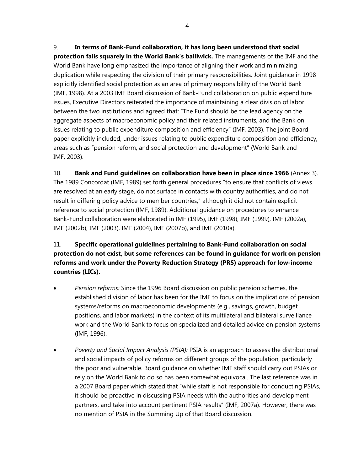9. **In terms of Bank-Fund collaboration, it has long been understood that social protection falls squarely in the World Bank's bailiwick.** The managements of the IMF and the World Bank have long emphasized the importance of aligning their work and minimizing duplication while respecting the division of their primary responsibilities. Joint guidance in 1998 explicitly identified social protection as an area of primary responsibility of the World Bank (IMF, 1998). At a 2003 IMF Board discussion of Bank-Fund collaboration on public expenditure issues, Executive Directors reiterated the importance of maintaining a clear division of labor between the two institutions and agreed that: "The Fund should be the lead agency on the aggregate aspects of macroeconomic policy and their related instruments, and the Bank on issues relating to public expenditure composition and efficiency" (IMF, 2003). The joint Board paper explicitly included, under issues relating to public expenditure composition and efficiency, areas such as "pension reform, and social protection and development" (World Bank and IMF, 2003).

10. **Bank and Fund guidelines on collaboration have been in place since 1966** (Annex 3). The 1989 Concordat (IMF, 1989) set forth general procedures "to ensure that conflicts of views are resolved at an early stage, do not surface in contacts with country authorities, and do not result in differing policy advice to member countries," although it did not contain explicit reference to social protection (IMF, 1989). Additional guidance on procedures to enhance Bank-Fund collaboration were elaborated in IMF (1995), IMF (1998), IMF (1999), IMF (2002a), IMF (2002b), IMF (2003), IMF (2004), IMF (2007b), and IMF (2010a).

# 11. **Specific operational guidelines pertaining to Bank-Fund collaboration on social protection do not exist, but some references can be found in guidance for work on pension reforms and work under the Poverty Reduction Strategy (PRS) approach for low-income countries (LICs)**:

- *Pension reforms:* Since the 1996 Board discussion on public pension schemes, the established division of labor has been for the IMF to focus on the implications of pension systems/reforms on macroeconomic developments (e.g., savings, growth, budget positions, and labor markets) in the context of its multilateral and bilateral surveillance work and the World Bank to focus on specialized and detailed advice on pension systems (IMF, 1996).
- *Poverty and Social Impact Analysis (PSIA):* PSIA is an approach to assess the distributional and social impacts of policy reforms on different groups of the population, particularly the poor and vulnerable. Board guidance on whether IMF staff should carry out PSIAs or rely on the World Bank to do so has been somewhat equivocal. The last reference was in a 2007 Board paper which stated that "while staff is not responsible for conducting PSIAs, it should be proactive in discussing PSIA needs with the authorities and development partners, and take into account pertinent PSIA results" (IMF, 2007a). However, there was no mention of PSIA in the Summing Up of that Board discussion.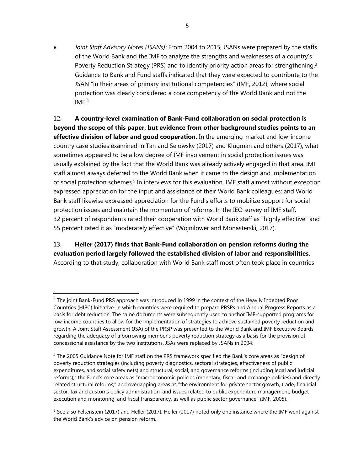*Joint Staff Advisory Notes (JSANs):* From 2004 to 2015, JSANs were prepared by the staffs of the World Bank and the IMF to analyze the strengths and weaknesses of a country's Poverty Reduction Strategy (PRS) and to identify priority action areas for strengthening.<sup>3</sup> Guidance to Bank and Fund staffs indicated that they were expected to contribute to the JSAN "in their areas of primary institutional competencies" (IMF, 2012), where social protection was clearly considered a core competency of the World Bank and not the  $IMF<sup>4</sup>$ 

12. **A country-level examination of Bank-Fund collaboration on social protection is beyond the scope of this paper, but evidence from other background studies points to an effective division of labor and good cooperation.** In the emerging-market and low-income country case studies examined in Tan and Selowsky (2017) and Klugman and others (2017), what sometimes appeared to be a low degree of IMF involvement in social protection issues was usually explained by the fact that the World Bank was already actively engaged in that area. IMF staff almost always deferred to the World Bank when it came to the design and implementation of social protection schemes.<sup>5</sup> In interviews for this evaluation, IMF staff almost without exception expressed appreciation for the input and assistance of their World Bank colleagues; and World Bank staff likewise expressed appreciation for the Fund's efforts to mobilize support for social protection issues and maintain the momentum of reforms. In the IEO survey of IMF staff, 32 percent of respondents rated their cooperation with World Bank staff as "highly effective" and 55 percent rated it as "moderately effective" (Wojnilower and Monasterski, 2017).

13. **Heller (2017) finds that Bank-Fund collaboration on pension reforms during the evaluation period largely followed the established division of labor and responsibilities.** According to that study, collaboration with World Bank staff most often took place in countries

<sup>&</sup>lt;sup>3</sup> The joint Bank-Fund PRS approach was introduced in 1999 in the context of the Heavily Indebted Poor Countries (HIPC) Initiative, in which countries were required to prepare PRSPs and Annual Progress Reports as a basis for debt reduction. The same documents were subsequently used to anchor IMF-supported programs for low-income countries to allow for the implementation of strategies to achieve sustained poverty reduction and growth. A Joint Staff Assessment (JSA) of the PRSP was presented to the World Bank and IMF Executive Boards regarding the adequacy of a borrowing member's poverty reduction strategy as a basis for the provision of concessional assistance by the two institutions. JSAs were replaced by JSANs in 2004.

<sup>4</sup> The 2005 Guidance Note for IMF staff on the PRS framework specified the Bank's core areas as "design of poverty reduction strategies (including poverty diagnostics, sectoral strategies, effectiveness of public expenditures, and social safety nets) and structural, social, and governance reforms (including legal and judicial reforms);" the Fund's core areas as "macroeconomic policies (monetary, fiscal, and exchange policies) and directly related structural reforms;" and overlapping areas as "the environment for private sector growth, trade, financial sector, tax and customs policy administration, and issues related to public expenditure management, budget execution and monitoring, and fiscal transparency, as well as public sector governance" (IMF, 2005).

<sup>&</sup>lt;sup>5</sup> See also Feltenstein (2017) and Heller (2017). Heller (2017) noted only one instance where the IMF went against the World Bank's advice on pension reform.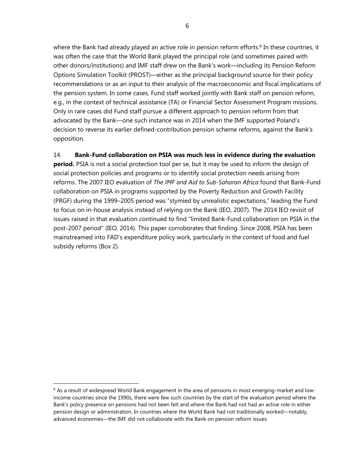where the Bank had already played an active role in pension reform efforts.<sup>6</sup> In these countries, it was often the case that the World Bank played the principal role (and sometimes paired with other donors/institutions) and IMF staff drew on the Bank's work—including its Pension Reform Options Simulation Toolkit (PROST)—either as the principal background source for their policy recommendations or as an input to their analysis of the macroeconomic and fiscal implications of the pension system. In some cases, Fund staff worked jointly with Bank staff on pension reform, e.g., in the context of technical assistance (TA) or Financial Sector Assessment Program missions. Only in rare cases did Fund staff pursue a different approach to pension reform from that advocated by the Bank—one such instance was in 2014 when the IMF supported Poland's decision to reverse its earlier defined-contribution pension scheme reforms, against the Bank's opposition.

14. **Bank-Fund collaboration on PSIA was much less in evidence during the evaluation** 

**period.** PSIA is not a social protection tool per se, but it may be used to inform the design of social protection policies and programs or to identify social protection needs arising from reforms. The 2007 IEO evaluation of *The IMF and Aid to Sub-Saharan Africa* found that Bank-Fund collaboration on PSIA in programs supported by the Poverty Reduction and Growth Facility (PRGF) during the 1999–2005 period was "stymied by unrealistic expectations," leading the Fund to focus on in-house analysis instead of relying on the Bank (IEO, 2007). The 2014 IEO revisit of issues raised in that evaluation continued to find "limited Bank-Fund collaboration on PSIA in the post-2007 period" (IEO, 2014). This paper corroborates that finding. Since 2008, PSIA has been mainstreamed into FAD's expenditure policy work, particularly in the context of food and fuel subsidy reforms (Box 2).

 $6$  As a result of widespread World Bank engagement in the area of pensions in most emerging-market and lowincome countries since the 1990s, there were few such countries by the start of the evaluation period where the Bank's policy presence on pensions had not been felt and where the Bank had not had an active role in either pension design or administration. In countries where the World Bank had not traditionally worked—notably, advanced economies—the IMF did not collaborate with the Bank on pension reform issues.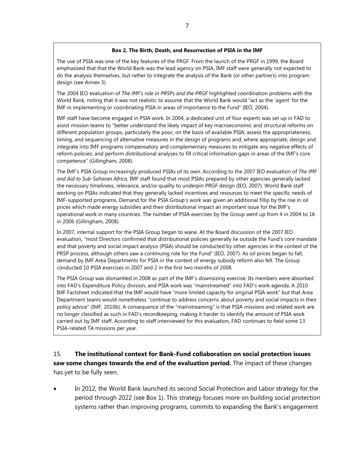#### **Box 2. The Birth, Death, and Resurrection of PSIA in the IMF**

The use of PSIA was one of the key features of the PRGF. From the launch of the PRGF in 1999, the Board emphasized that that the World Bank was the lead agency on PSIA. IMF staff were generally not expected to do the analysis themselves, but rather to integrate the analysis of the Bank (or other partners) into program design (see Annex 3).

The 2004 IEO evaluation of *The IMF's role in PRSPs and the PRGF* highlighted coordination problems with the World Bank, noting that it was not realistic to assume that the World Bank would "act as the 'agent' for the IMF in implementing or coordinating PSIA in areas of importance to the Fund" (IEO, 2004).

IMF staff have become engaged in PSIA work. In 2004, a dedicated unit of four experts was set up in FAD to assist mission teams to "better understand the likely impact of key macroeconomic and structural reforms on different population groups, particularly the poor, on the basis of available PSIA; assess the appropriateness, timing, and sequencing of alternative measures in the design of programs and, where appropriate, design and integrate into IMF programs compensatory and complementary measures to mitigate any negative effects of reform policies; and perform distributional analyses to fill critical information gaps in areas of the IMF's core competence" (Gillingham, 2008).

The IMF's PSIA Group increasingly produced PSIAs of its own. According to the 2007 IEO evaluation of *The IMF and Aid to Sub-Saharan Africa*, IMF staff found that most PSIAs prepared by other agencies generally lacked the necessary timeliness, relevance, and/or quality to underpin PRGF design (IEO, 2007). World Bank staff working on PSIAs indicated that they generally lacked incentives and resources to meet the specific needs of IMF-supported programs. Demand for the PSIA Group's work was given an additional fillip by the rise in oil prices which made energy subsidies and their distributional impact an important issue for the IMF's operational work in many countries. The number of PSIA exercises by the Group went up from 4 in 2004 to 16 in 2006 (Gillingham, 2008).

In 2007, internal support for the PSIA Group began to wane. At the Board discussion of the 2007 IEO evaluation, "most Directors confirmed that distributional policies generally lie outside the Fund's core mandate and that poverty and social impact analysis (PSIA) should be conducted by other agencies in the context of the PRSP process, although others saw a continuing role for the Fund" (IEO, 2007). As oil prices began to fall, demand by IMF Area Departments for PSIA in the context of energy subsidy reform also fell. The Group conducted 10 PSIA exercises in 2007 and 2 in the first two months of 2008.

The PSIA Group was dismantled in 2008 as part of the IMF's downsizing exercise. Its members were absorbed into FAD's Expenditure Policy division, and PSIA work was "mainstreamed" into FAD's work agenda. A 2010 IMF Factsheet indicated that the IMF would have "more limited capacity for original PSIA work" but that Area Department teams would nonetheless "continue to address concerns about poverty and social impacts in their policy advice" (IMF, 2010b). A consequence of the "mainstreaming" is that PSIA missions and related work are no longer classified as such in FAD's recordkeeping, making it harder to identify the amount of PSIA work carried out by IMF staff. According to staff interviewed for this evaluation, FAD continues to field some 13 PSIA-related TA missions per year.

15. **The institutional context for Bank-Fund collaboration on social protection issues saw some changes towards the end of the evaluation period.** The impact of these changes has yet to be fully seen.

 In 2012, the World Bank launched its second Social Protection and Labor strategy for the period through 2022 (see Box 1). This strategy focuses more on building social protection systems rather than improving programs, commits to expanding the Bank's engagement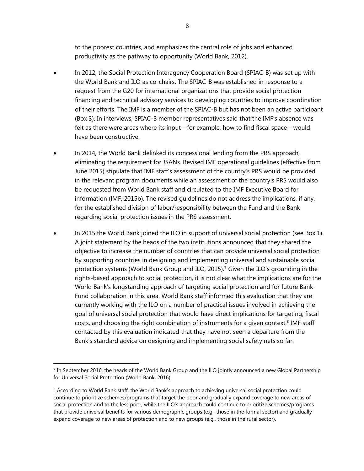to the poorest countries, and emphasizes the central role of jobs and enhanced productivity as the pathway to opportunity (World Bank, 2012).

- In 2012, the Social Protection Interagency Cooperation Board (SPIAC-B) was set up with the World Bank and ILO as co-chairs. The SPIAC-B was established in response to a request from the G20 for international organizations that provide social protection financing and technical advisory services to developing countries to improve coordination of their efforts. The IMF is a member of the SPIAC-B but has not been an active participant (Box 3). In interviews, SPIAC-B member representatives said that the IMF's absence was felt as there were areas where its input—for example, how to find fiscal space—would have been constructive.
- In 2014, the World Bank delinked its concessional lending from the PRS approach, eliminating the requirement for JSANs. Revised IMF operational guidelines (effective from June 2015) stipulate that IMF staff's assessment of the country's PRS would be provided in the relevant program documents while an assessment of the country's PRS would also be requested from World Bank staff and circulated to the IMF Executive Board for information (IMF, 2015b). The revised guidelines do not address the implications, if any, for the established division of labor/responsibility between the Fund and the Bank regarding social protection issues in the PRS assessment.
- In 2015 the World Bank joined the ILO in support of universal social protection (see Box 1). A joint statement by the heads of the two institutions announced that they shared the objective to increase the number of countries that can provide universal social protection by supporting countries in designing and implementing universal and sustainable social protection systems (World Bank Group and ILO, 2015).<sup>7</sup> Given the ILO's grounding in the rights-based approach to social protection, it is not clear what the implications are for the World Bank's longstanding approach of targeting social protection and for future Bank-Fund collaboration in this area. World Bank staff informed this evaluation that they are currently working with the ILO on a number of practical issues involved in achieving the goal of universal social protection that would have direct implications for targeting, fiscal costs, and choosing the right combination of instruments for a given context.<sup>8</sup> IMF staff contacted by this evaluation indicated that they have not seen a departure from the Bank's standard advice on designing and implementing social safety nets so far.

1

 $7$  In September 2016, the heads of the World Bank Group and the ILO jointly announced a new Global Partnership for Universal Social Protection (World Bank, 2016).

<sup>&</sup>lt;sup>8</sup> According to World Bank staff, the World Bank's approach to achieving universal social protection could continue to prioritize schemes/programs that target the poor and gradually expand coverage to new areas of social protection and to the less poor, while the ILO's approach could continue to prioritize schemes/programs that provide universal benefits for various demographic groups (e.g., those in the formal sector) and gradually expand coverage to new areas of protection and to new groups (e.g., those in the rural sector).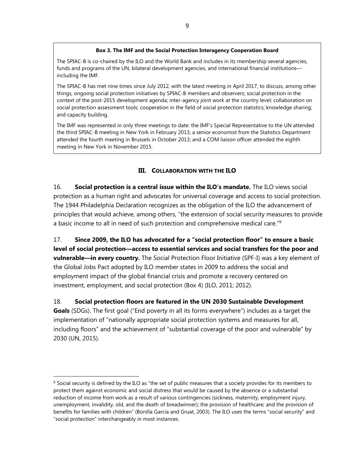#### **Box 3. The IMF and the Social Protection Interagency Cooperation Board**

The SPIAC-B is co-chaired by the ILO and the World Bank and includes in its membership several agencies, funds and programs of the UN, bilateral development agencies, and international financial institutions including the IMF.

The SPIAC-B has met nine times since July 2012, with the latest meeting in April 2017, to discuss, among other things, ongoing social protection initiatives by SPIAC-B members and observers; social protection in the context of the post-2015 development agenda; inter-agency joint work at the country level; collaboration on social protection assessment tools; cooperation in the field of social protection statistics; knowledge sharing; and capacity building.

The IMF was represented in only three meetings to date: the IMF's Special Representative to the UN attended the third SPIAC-B meeting in New York in February 2013; a senior economist from the Statistics Department attended the fourth meeting in Brussels in October 2013; and a COM liaison officer attended the eighth meeting in New York in November 2015.

# **III. COLLABORATION WITH THE ILO**

16. **Social protection is a central issue within the ILO's mandate.** The ILO views social protection as a human right and advocates for universal coverage and access to social protection. The 1944 Philadelphia Declaration recognizes as the obligation of the ILO the advancement of principles that would achieve, among others, "the extension of social security measures to provide a basic income to all in need of such protection and comprehensive medical care."<sup>9</sup>

17. **Since 2009, the ILO has advocated for a "social protection floor" to ensure a basic level of social protection—access to essential services and social transfers for the poor and vulnerable—in every country.** The Social Protection Floor Initiative (SPF-I) was a key element of the Global Jobs Pact adopted by ILO member states in 2009 to address the social and employment impact of the global financial crisis and promote a recovery centered on investment, employment, and social protection (Box 4) (ILO, 2011; 2012).

18. **Social protection floors are featured in the UN 2030 Sustainable Development** 

**Goals** (SDGs). The first goal ("End poverty in all its forms everywhere") includes as a target the implementation of "nationally appropriate social protection systems and measures for all, including floors" and the achievement of "substantial coverage of the poor and vulnerable" by 2030 (UN, 2015).

<sup>&</sup>lt;sup>9</sup> Social security is defined by the ILO as "the set of public measures that a society provides for its members to protect them against economic and social distress that would be caused by the absence or a substantial reduction of income from work as a result of various contingencies (sickness, maternity, employment injury, unemployment, invalidity, old, and the death of breadwinner); the provision of healthcare; and the provision of benefits for families with children" (Bonilla Garcia and Gruat, 2003). The ILO uses the terms "social security" and "social protection" interchangeably in most instances.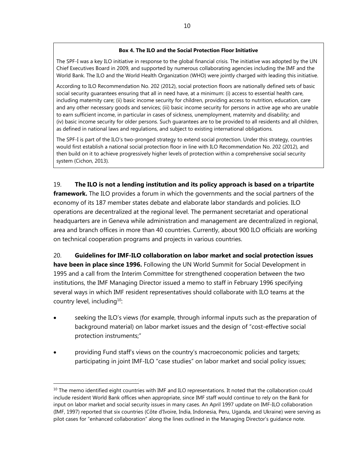#### **Box 4. The ILO and the Social Protection Floor Initiative**

The SPF-I was a key ILO initiative in response to the global financial crisis. The initiative was adopted by the UN Chief Executives Board in 2009, and supported by numerous collaborating agencies including the IMF and the World Bank. The ILO and the World Health Organization (WHO) were jointly charged with leading this initiative.

According to ILO Recommendation No. 202 (2012), social protection floors are nationally defined sets of basic social security guarantees ensuring that all in need have, at a minimum: (i) access to essential health care, including maternity care; (ii) basic income security for children, providing access to nutrition, education, care and any other necessary goods and services; (iii) basic income security for persons in active age who are unable to earn sufficient income, in particular in cases of sickness, unemployment, maternity and disability; and (iv) basic income security for older persons. Such guarantees are to be provided to all residents and all children, as defined in national laws and regulations, and subject to existing international obligations.

The SPF-I is part of the ILO's two-pronged strategy to extend social protection. Under this strategy, countries would first establish a national social protection floor in line with ILO Recommendation No. 202 (2012), and then build on it to achieve progressively higher levels of protection within a comprehensive social security system (Cichon, 2013).

### 19. **The ILO is not a lending institution and its policy approach is based on a tripartite**

**framework.** The ILO provides a forum in which the governments and the social partners of the economy of its 187 member states debate and elaborate labor standards and policies. ILO operations are decentralized at the regional level. The permanent secretariat and operational headquarters are in Geneva while administration and management are decentralized in regional, area and branch offices in more than 40 countries. Currently, about 900 ILO officials are working on technical cooperation programs and projects in various countries.

20. **Guidelines for IMF-ILO collaboration on labor market and social protection issues have been in place since 1996.** Following the UN World Summit for Social Development in 1995 and a call from the Interim Committee for strengthened cooperation between the two institutions, the IMF Managing Director issued a memo to staff in February 1996 specifying several ways in which IMF resident representatives should collaborate with ILO teams at the country level, including10:

- seeking the ILO's views (for example, through informal inputs such as the preparation of background material) on labor market issues and the design of "cost-effective social protection instruments;"
- providing Fund staff's views on the country's macroeconomic policies and targets; participating in joint IMF-ILO "case studies" on labor market and social policy issues;

-

<sup>&</sup>lt;sup>10</sup> The memo identified eight countries with IMF and ILO representations. It noted that the collaboration could include resident World Bank offices when appropriate, since IMF staff would continue to rely on the Bank for input on labor market and social security issues in many cases. An April 1997 update on IMF-ILO collaboration (IMF, 1997) reported that six countries (Côte d'Ivoire, India, Indonesia, Peru, Uganda, and Ukraine) were serving as pilot cases for "enhanced collaboration" along the lines outlined in the Managing Director's guidance note.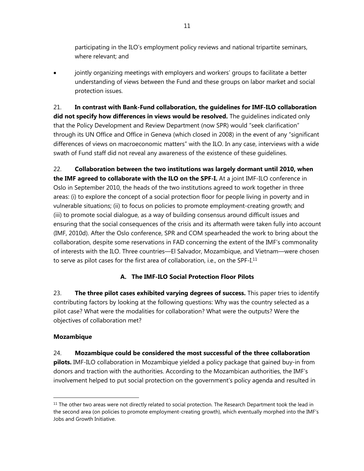participating in the ILO's employment policy reviews and national tripartite seminars, where relevant; and

• jointly organizing meetings with employers and workers' groups to facilitate a better understanding of views between the Fund and these groups on labor market and social protection issues.

21. **In contrast with Bank-Fund collaboration, the guidelines for IMF-ILO collaboration did not specify how differences in views would be resolved.** The guidelines indicated only that the Policy Development and Review Department (now SPR) would "seek clarification" through its UN Office and Office in Geneva (which closed in 2008) in the event of any "significant differences of views on macroeconomic matters" with the ILO. In any case, interviews with a wide swath of Fund staff did not reveal any awareness of the existence of these guidelines.

22. **Collaboration between the two institutions was largely dormant until 2010, when the IMF agreed to collaborate with the ILO on the SPF-I.** At a joint IMF-ILO conference in Oslo in September 2010, the heads of the two institutions agreed to work together in three areas: (i) to explore the concept of a social protection floor for people living in poverty and in vulnerable situations; (ii) to focus on policies to promote employment-creating growth; and (iii) to promote social dialogue, as a way of building consensus around difficult issues and ensuring that the social consequences of the crisis and its aftermath were taken fully into account (IMF, 2010d). After the Oslo conference, SPR and COM spearheaded the work to bring about the collaboration, despite some reservations in FAD concerning the extent of the IMF's commonality of interests with the ILO. Three countries—El Salvador, Mozambique, and Vietnam—were chosen to serve as pilot cases for the first area of collaboration, i.e., on the SPF-I. $11$ 

# **A. The IMF-ILO Social Protection Floor Pilots**

23. **The three pilot cases exhibited varying degrees of success.** This paper tries to identify contributing factors by looking at the following questions: Why was the country selected as a pilot case? What were the modalities for collaboration? What were the outputs? Were the objectives of collaboration met?

# **Mozambique**

 $\overline{a}$ 

# 24. **Mozambique could be considered the most successful of the three collaboration**

**pilots.** IMF-ILO collaboration in Mozambique yielded a policy package that gained buy-in from donors and traction with the authorities. According to the Mozambican authorities, the IMF's involvement helped to put social protection on the government's policy agenda and resulted in

 $11$  The other two areas were not directly related to social protection. The Research Department took the lead in the second area (on policies to promote employment-creating growth), which eventually morphed into the IMF's Jobs and Growth Initiative.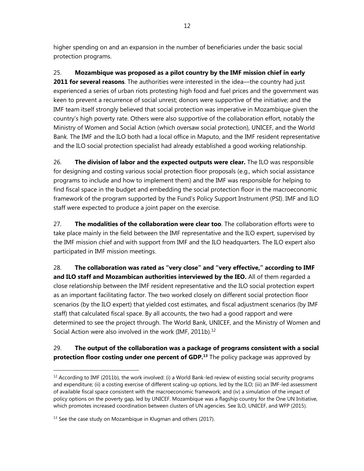higher spending on and an expansion in the number of beneficiaries under the basic social protection programs.

25. **Mozambique was proposed as a pilot country by the IMF mission chief in early 2011 for several reasons**. The authorities were interested in the idea—the country had just experienced a series of urban riots protesting high food and fuel prices and the government was keen to prevent a recurrence of social unrest; donors were supportive of the initiative; and the IMF team itself strongly believed that social protection was imperative in Mozambique given the country's high poverty rate. Others were also supportive of the collaboration effort, notably the Ministry of Women and Social Action (which oversaw social protection), UNICEF, and the World Bank. The IMF and the ILO both had a local office in Maputo, and the IMF resident representative and the ILO social protection specialist had already established a good working relationship.

26. **The division of labor and the expected outputs were clear.** The ILO was responsible for designing and costing various social protection floor proposals (e.g., which social assistance programs to include and how to implement them) and the IMF was responsible for helping to find fiscal space in the budget and embedding the social protection floor in the macroeconomic framework of the program supported by the Fund's Policy Support Instrument (PSI). IMF and ILO staff were expected to produce a joint paper on the exercise.

27. **The modalities of the collaboration were clear too**. The collaboration efforts were to take place mainly in the field between the IMF representative and the ILO expert, supervised by the IMF mission chief and with support from IMF and the ILO headquarters. The ILO expert also participated in IMF mission meetings.

28. **The collaboration was rated as "very close" and "very effective," according to IMF and ILO staff and Mozambican authorities interviewed by the IEO.** All of them regarded a close relationship between the IMF resident representative and the ILO social protection expert as an important facilitating factor. The two worked closely on different social protection floor scenarios (by the ILO expert) that yielded cost estimates, and fiscal adjustment scenarios (by IMF staff) that calculated fiscal space. By all accounts, the two had a good rapport and were determined to see the project through. The World Bank, UNICEF, and the Ministry of Women and Social Action were also involved in the work (IMF, 2011b).<sup>12</sup>

# 29. **The output of the collaboration was a package of programs consistent with a social protection floor costing under one percent of GDP.<sup>13</sup> The policy package was approved by**

1

 $12$  According to IMF (2011b), the work involved: (i) a World Bank-led review of existing social security programs and expenditure; (ii) a costing exercise of different scaling-up options, led by the ILO; (iii) an IMF-led assessment of available fiscal space consistent with the macroeconomic framework; and (iv) a simulation of the impact of policy options on the poverty gap, led by UNICEF. Mozambique was a flagship country for the One UN Initiative, which promotes increased coordination between clusters of UN agencies. See ILO, UNICEF, and WFP (2015).

 $13$  See the case study on Mozambique in Klugman and others (2017).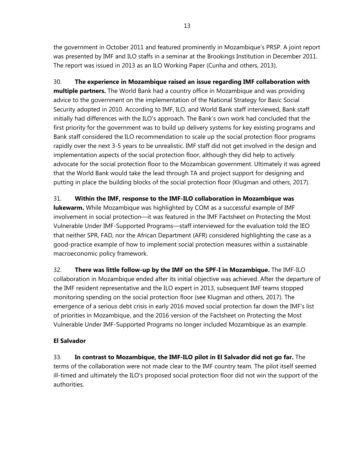the government in October 2011 and featured prominently in Mozambique's PRSP. A joint report was presented by IMF and ILO staffs in a seminar at the Brookings Institution in December 2011. The report was issued in 2013 as an ILO Working Paper (Cunha and others, 2013).

30. **The experience in Mozambique raised an issue regarding IMF collaboration with multiple partners.** The World Bank had a country office in Mozambique and was providing advice to the government on the implementation of the National Strategy for Basic Social Security adopted in 2010. According to IMF, ILO, and World Bank staff interviewed, Bank staff initially had differences with the ILO's approach. The Bank's own work had concluded that the first priority for the government was to build up delivery systems for key existing programs and Bank staff considered the ILO recommendation to scale up the social protection floor programs rapidly over the next 3-5 years to be unrealistic. IMF staff did not get involved in the design and implementation aspects of the social protection floor, although they did help to actively advocate for the social protection floor to the Mozambican government. Ultimately it was agreed that the World Bank would take the lead through TA and project support for designing and putting in place the building blocks of the social protection floor (Klugman and others, 2017).

# 31. **Within the IMF, response to the IMF-ILO collaboration in Mozambique was**

**lukewarm.** While Mozambique was highlighted by COM as a successful example of IMF involvement in social protection—it was featured in the IMF Factsheet on Protecting the Most Vulnerable Under IMF-Supported Programs—staff interviewed for the evaluation told the IEO that neither SPR, FAD, nor the African Department (AFR) considered highlighting the case as a good-practice example of how to implement social protection measures within a sustainable macroeconomic policy framework.

32. **There was little follow-up by the IMF on the SPF-I in Mozambique.** The IMF-ILO collaboration in Mozambique ended after its initial objective was achieved. After the departure of the IMF resident representative and the ILO expert in 2013, subsequent IMF teams stopped monitoring spending on the social protection floor (see Klugman and others, 2017). The emergence of a serious debt crisis in early 2016 moved social protection far down the IMF's list of priorities in Mozambique, and the 2016 version of the Factsheet on Protecting the Most Vulnerable Under IMF-Supported Programs no longer included Mozambique as an example.

# **El Salvador**

33. **In contrast to Mozambique, the IMF-ILO pilot in El Salvador did not go far.** The terms of the collaboration were not made clear to the IMF country team. The pilot itself seemed ill-timed and ultimately the ILO's proposed social protection floor did not win the support of the authorities.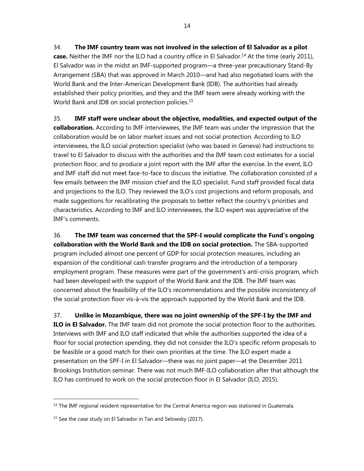34. **The IMF country team was not involved in the selection of El Salvador as a pilot**  case. Neither the IMF nor the ILO had a country office in El Salvador.<sup>14</sup> At the time (early 2011), El Salvador was in the midst an IMF-supported program—a three-year precautionary Stand-By Arrangement (SBA) that was approved in March 2010—and had also negotiated loans with the World Bank and the Inter-American Development Bank (IDB). The authorities had already established their policy priorities, and they and the IMF team were already working with the World Bank and IDB on social protection policies.15

35. **IMF staff were unclear about the objective, modalities, and expected output of the collaboration.** According to IMF interviewees, the IMF team was under the impression that the collaboration would be on labor market issues and not social protection. According to ILO interviewees, the ILO social protection specialist (who was based in Geneva) had instructions to travel to El Salvador to discuss with the authorities and the IMF team cost estimates for a social protection floor, and to produce a joint report with the IMF after the exercise. In the event, ILO and IMF staff did not meet face-to-face to discuss the initiative. The collaboration consisted of a few emails between the IMF mission chief and the ILO specialist. Fund staff provided fiscal data and projections to the ILO. They reviewed the ILO's cost projections and reform proposals, and made suggestions for recalibrating the proposals to better reflect the country's priorities and characteristics. According to IMF and ILO interviewees, the ILO expert was appreciative of the IMF's comments.

36. **The IMF team was concerned that the SPF-I would complicate the Fund's ongoing collaboration with the World Bank and the IDB on social protection.** The SBA-supported program included almost one percent of GDP for social protection measures, including an expansion of the conditional cash transfer programs and the introduction of a temporary employment program. These measures were part of the government's anti-crisis program, which had been developed with the support of the World Bank and the IDB. The IMF team was concerned about the feasibility of the ILO's recommendations and the possible inconsistency of the social protection floor vis-à-vis the approach supported by the World Bank and the IDB.

37. **Unlike in Mozambique, there was no joint ownership of the SPF-I by the IMF and ILO in El Salvador.** The IMF team did not promote the social protection floor to the authorities. Interviews with IMF and ILO staff indicated that while the authorities supported the idea of a floor for social protection spending, they did not consider the ILO's specific reform proposals to be feasible or a good match for their own priorities at the time. The ILO expert made a presentation on the SPF-I in El Salvador—there was no joint paper—at the December 2011 Brookings Institution seminar. There was not much IMF-ILO collaboration after that although the ILO has continued to work on the social protection floor in El Salvador (ILO, 2015).

<sup>&</sup>lt;sup>14</sup> The IMF regional resident representative for the Central America region was stationed in Guatemala.

<sup>&</sup>lt;sup>15</sup> See the case study on El Salvador in Tan and Selowsky (2017).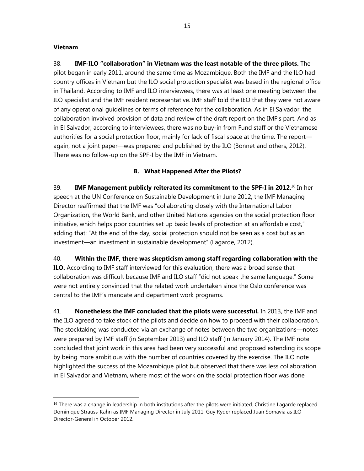#### **Vietnam**

-

38. **IMF-ILO "collaboration" in Vietnam was the least notable of the three pilots.** The pilot began in early 2011, around the same time as Mozambique. Both the IMF and the ILO had country offices in Vietnam but the ILO social protection specialist was based in the regional office in Thailand. According to IMF and ILO interviewees, there was at least one meeting between the ILO specialist and the IMF resident representative. IMF staff told the IEO that they were not aware of any operational guidelines or terms of reference for the collaboration. As in El Salvador, the collaboration involved provision of data and review of the draft report on the IMF's part. And as in El Salvador, according to interviewees, there was no buy-in from Fund staff or the Vietnamese authorities for a social protection floor, mainly for lack of fiscal space at the time. The report again, not a joint paper—was prepared and published by the ILO (Bonnet and others, 2012). There was no follow-up on the SPF-I by the IMF in Vietnam.

### **B. What Happened After the Pilots?**

39. **IMF Management publicly reiterated its commitment to the SPF-I in 2012**. 16 In her speech at the UN Conference on Sustainable Development in June 2012, the IMF Managing Director reaffirmed that the IMF was "collaborating closely with the International Labor Organization, the World Bank, and other United Nations agencies on the social protection floor initiative, which helps poor countries set up basic levels of protection at an affordable cost," adding that: "At the end of the day, social protection should not be seen as a cost but as an investment—an investment in sustainable development" (Lagarde, 2012).

40. **Within the IMF, there was skepticism among staff regarding collaboration with the ILO.** According to IMF staff interviewed for this evaluation, there was a broad sense that collaboration was difficult because IMF and ILO staff "did not speak the same language." Some were not entirely convinced that the related work undertaken since the Oslo conference was central to the IMF's mandate and department work programs.

41. **Nonetheless the IMF concluded that the pilots were successful.** In 2013, the IMF and the ILO agreed to take stock of the pilots and decide on how to proceed with their collaboration. The stocktaking was conducted via an exchange of notes between the two organizations—notes were prepared by IMF staff (in September 2013) and ILO staff (in January 2014). The IMF note concluded that joint work in this area had been very successful and proposed extending its scope by being more ambitious with the number of countries covered by the exercise. The ILO note highlighted the success of the Mozambique pilot but observed that there was less collaboration in El Salvador and Vietnam, where most of the work on the social protection floor was done

<sup>&</sup>lt;sup>16</sup> There was a change in leadership in both institutions after the pilots were initiated. Christine Lagarde replaced Dominique Strauss-Kahn as IMF Managing Director in July 2011. Guy Ryder replaced Juan Somavia as ILO Director-General in October 2012.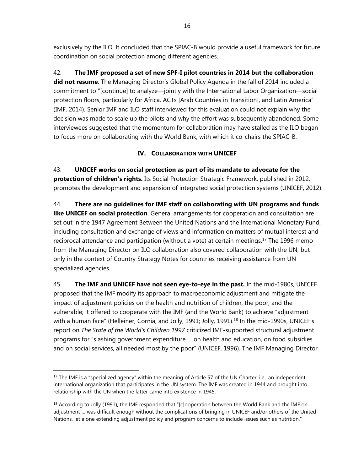exclusively by the ILO. It concluded that the SPIAC-B would provide a useful framework for future coordination on social protection among different agencies.

42. **The IMF proposed a set of new SPF-I pilot countries in 2014 but the collaboration did not resume**. The Managing Director's Global Policy Agenda in the fall of 2014 included a commitment to "[continue] to analyze—jointly with the International Labor Organization—social protection floors, particularly for Africa, ACTs [Arab Countries in Transition], and Latin America" (IMF, 2014). Senior IMF and ILO staff interviewed for this evaluation could not explain why the decision was made to scale up the pilots and why the effort was subsequently abandoned. Some interviewees suggested that the momentum for collaboration may have stalled as the ILO began to focus more on collaborating with the World Bank, with which it co-chairs the SPIAC-B.

# **IV. COLLABORATION WITH UNICEF**

43. **UNICEF works on social protection as part of its mandate to advocate for the protection of children's rights.** Its Social Protection Strategic Framework, published in 2012, promotes the development and expansion of integrated social protection systems (UNICEF, 2012).

44. **There are no guidelines for IMF staff on collaborating with UN programs and funds like UNICEF on social protection**. General arrangements for cooperation and consultation are set out in the 1947 Agreement Between the United Nations and the International Monetary Fund, including consultation and exchange of views and information on matters of mutual interest and reciprocal attendance and participation (without a vote) at certain meetings.<sup>17</sup> The 1996 memo from the Managing Director on ILO collaboration also covered collaboration with the UN, but only in the context of Country Strategy Notes for countries receiving assistance from UN specialized agencies.

45. **The IMF and UNICEF have not seen eye-to-eye in the past.** In the mid-1980s, UNICEF proposed that the IMF modify its approach to macroeconomic adjustment and mitigate the impact of adjustment policies on the health and nutrition of children, the poor, and the vulnerable; it offered to cooperate with the IMF (and the World Bank) to achieve "adjustment with a human face" (Helleiner, Cornia, and Jolly, 1991; Jolly, 1991).<sup>18</sup> In the mid-1990s, UNICEF's report on *The State of the World's Children 1997* criticized IMF-supported structural adjustment programs for "slashing government expenditure … on health and education, on food subsidies and on social services, all needed most by the poor" (UNICEF, 1996). The IMF Managing Director

<sup>&</sup>lt;sup>17</sup> The IMF is a "specialized agency" within the meaning of Article 57 of the UN Charter, i.e., an independent international organization that participates in the UN system. The IMF was created in 1944 and brought into relationship with the UN when the latter came into existence in 1945.

 $18$  According to Jolly (1991), the IMF responded that "[c]ooperation between the World Bank and the IMF on adjustment … was difficult enough without the complications of bringing in UNICEF and/or others of the United Nations, let alone extending adjustment policy and program concerns to include issues such as nutrition."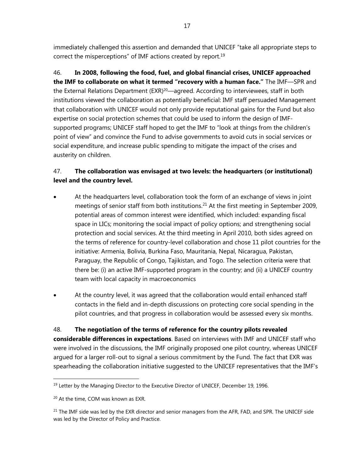immediately challenged this assertion and demanded that UNICEF "take all appropriate steps to correct the misperceptions" of IMF actions created by report.<sup>19</sup>

46. **In 2008, following the food, fuel, and global financial crises, UNICEF approached the IMF to collaborate on what it termed "recovery with a human face."** The IMF—SPR and the External Relations Department (EXR)<sup>20</sup>—agreed. According to interviewees, staff in both institutions viewed the collaboration as potentially beneficial: IMF staff persuaded Management that collaboration with UNICEF would not only provide reputational gains for the Fund but also expertise on social protection schemes that could be used to inform the design of IMFsupported programs; UNICEF staff hoped to get the IMF to "look at things from the children's point of view" and convince the Fund to advise governments to avoid cuts in social services or social expenditure, and increase public spending to mitigate the impact of the crises and austerity on children.

# 47. **The collaboration was envisaged at two levels: the headquarters (or institutional) level and the country level.**

- At the headquarters level, collaboration took the form of an exchange of views in joint meetings of senior staff from both institutions.<sup>21</sup> At the first meeting in September 2009, potential areas of common interest were identified, which included: expanding fiscal space in LICs; monitoring the social impact of policy options; and strengthening social protection and social services. At the third meeting in April 2010, both sides agreed on the terms of reference for country-level collaboration and chose 11 pilot countries for the initiative: Armenia, Bolivia, Burkina Faso, Mauritania, Nepal, Nicaragua, Pakistan, Paraguay, the Republic of Congo, Tajikistan, and Togo. The selection criteria were that there be: (i) an active IMF-supported program in the country; and (ii) a UNICEF country team with local capacity in macroeconomics
- At the country level, it was agreed that the collaboration would entail enhanced staff contacts in the field and in-depth discussions on protecting core social spending in the pilot countries, and that progress in collaboration would be assessed every six months.

48. **The negotiation of the terms of reference for the country pilots revealed considerable differences in expectations**. Based on interviews with IMF and UNICEF staff who were involved in the discussions, the IMF originally proposed one pilot country, whereas UNICEF argued for a larger roll-out to signal a serious commitment by the Fund. The fact that EXR was spearheading the collaboration initiative suggested to the UNICEF representatives that the IMF's

1

<sup>&</sup>lt;sup>19</sup> Letter by the Managing Director to the Executive Director of UNICEF, December 19, 1996.

<sup>20</sup> At the time, COM was known as EXR.

 $21$  The IMF side was led by the EXR director and senior managers from the AFR, FAD, and SPR. The UNICEF side was led by the Director of Policy and Practice.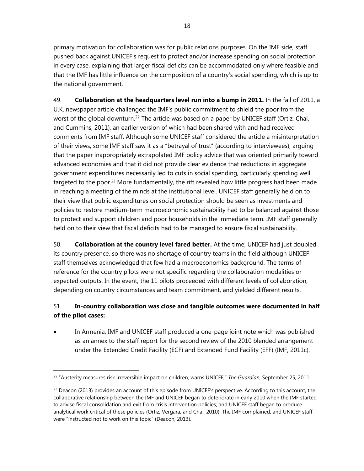primary motivation for collaboration was for public relations purposes. On the IMF side, staff pushed back against UNICEF's request to protect and/or increase spending on social protection in every case, explaining that larger fiscal deficits can be accommodated only where feasible and that the IMF has little influence on the composition of a country's social spending, which is up to the national government.

49. **Collaboration at the headquarters level run into a bump in 2011.** In the fall of 2011, a U.K. newspaper article challenged the IMF's public commitment to shield the poor from the worst of the global downturn.<sup>22</sup> The article was based on a paper by UNICEF staff (Ortiz, Chai, and Cummins, 2011), an earlier version of which had been shared with and had received comments from IMF staff. Although some UNICEF staff considered the article a misinterpretation of their views, some IMF staff saw it as a "betrayal of trust" (according to interviewees), arguing that the paper inappropriately extrapolated IMF policy advice that was oriented primarily toward advanced economies and that it did not provide clear evidence that reductions in aggregate government expenditures necessarily led to cuts in social spending, particularly spending well targeted to the poor.<sup>23</sup> More fundamentally, the rift revealed how little progress had been made in reaching a meeting of the minds at the institutional level. UNICEF staff generally held on to their view that public expenditures on social protection should be seen as investments and policies to restore medium-term macroeconomic sustainability had to be balanced against those to protect and support children and poor households in the immediate term. IMF staff generally held on to their view that fiscal deficits had to be managed to ensure fiscal sustainability.

50. **Collaboration at the country level fared better.** At the time, UNICEF had just doubled its country presence, so there was no shortage of country teams in the field although UNICEF staff themselves acknowledged that few had a macroeconomics background. The terms of reference for the country pilots were not specific regarding the collaboration modalities or expected outputs. In the event, the 11 pilots proceeded with different levels of collaboration, depending on country circumstances and team commitment, and yielded different results.

# 51. **In-country collaboration was close and tangible outcomes were documented in half of the pilot cases:**

 In Armenia, IMF and UNICEF staff produced a one-page joint note which was published as an annex to the staff report for the second review of the 2010 blended arrangement under the Extended Credit Facility (ECF) and Extended Fund Facility (EFF) (IMF, 2011c).

1

<sup>22 &</sup>quot;Austerity measures risk irreversible impact on children, warns UNICEF," *The Guardian*, September 25, 2011.

 $^{23}$  Deacon (2013) provides an account of this episode from UNICEF's perspective. According to this account, the collaborative relationship between the IMF and UNICEF began to deteriorate in early 2010 when the IMF started to advise fiscal consolidation and exit from crisis intervention policies, and UNICEF staff began to produce analytical work critical of these policies (Ortiz, Vergara, and Chai, 2010). The IMF complained, and UNICEF staff were "instructed not to work on this topic" (Deacon, 2013).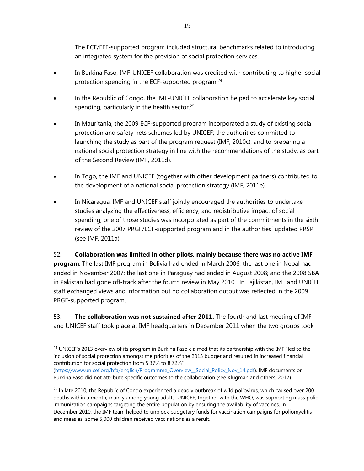The ECF/EFF-supported program included structural benchmarks related to introducing an integrated system for the provision of social protection services.

- In Burkina Faso, IMF-UNICEF collaboration was credited with contributing to higher social protection spending in the ECF-supported program.24
- In the Republic of Congo, the IMF-UNICEF collaboration helped to accelerate key social spending, particularly in the health sector.<sup>25</sup>
- In Mauritania, the 2009 ECF-supported program incorporated a study of existing social protection and safety nets schemes led by UNICEF; the authorities committed to launching the study as part of the program request (IMF, 2010c), and to preparing a national social protection strategy in line with the recommendations of the study, as part of the Second Review (IMF, 2011d).
- In Togo, the IMF and UNICEF (together with other development partners) contributed to the development of a national social protection strategy (IMF, 2011e).
- In Nicaragua, IMF and UNICEF staff jointly encouraged the authorities to undertake studies analyzing the effectiveness, efficiency, and redistributive impact of social spending, one of those studies was incorporated as part of the commitments in the sixth review of the 2007 PRGF/ECF-supported program and in the authorities' updated PRSP (see IMF, 2011a).

52. **Collaboration was limited in other pilots, mainly because there was no active IMF program**. The last IMF program in Bolivia had ended in March 2006; the last one in Nepal had ended in November 2007; the last one in Paraguay had ended in August 2008; and the 2008 SBA in Pakistan had gone off-track after the fourth review in May 2010. In Tajikistan, IMF and UNICEF staff exchanged views and information but no collaboration output was reflected in the 2009 PRGF-supported program.

53. **The collaboration was not sustained after 2011.** The fourth and last meeting of IMF and UNICEF staff took place at IMF headquarters in December 2011 when the two groups took

-

<sup>&</sup>lt;sup>24</sup> UNICEF's 2013 overview of its program in Burkina Faso claimed that its partnership with the IMF "led to the inclusion of social protection amongst the priorities of the 2013 budget and resulted in increased financial contribution for social protection from 5.37% to 8.72%"

<sup>(</sup>https://www.unicef.org/bfa/english/Programme\_Overview\_Social\_Policy\_Nov\_14.pdf). IMF documents on Burkina Faso did not attribute specific outcomes to the collaboration (see Klugman and others, 2017).

 $25$  In late 2010, the Republic of Congo experienced a deadly outbreak of wild poliovirus, which caused over 200 deaths within a month, mainly among young adults. UNICEF, together with the WHO, was supporting mass polio immunization campaigns targeting the entire population by ensuring the availability of vaccines. In December 2010, the IMF team helped to unblock budgetary funds for vaccination campaigns for poliomyelitis and measles; some 5,000 children received vaccinations as a result.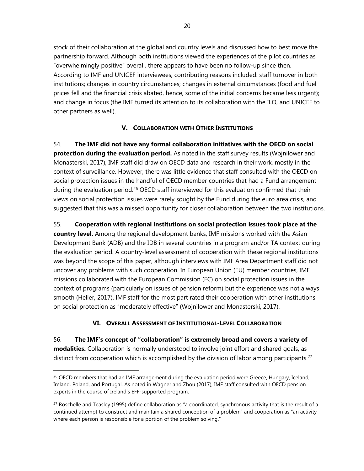stock of their collaboration at the global and country levels and discussed how to best move the partnership forward. Although both institutions viewed the experiences of the pilot countries as "overwhelmingly positive" overall, there appears to have been no follow-up since then. According to IMF and UNICEF interviewees, contributing reasons included: staff turnover in both institutions; changes in country circumstances; changes in external circumstances (food and fuel prices fell and the financial crisis abated, hence, some of the initial concerns became less urgent); and change in focus (the IMF turned its attention to its collaboration with the ILO, and UNICEF to other partners as well).

### **V. COLLABORATION WITH OTHER INSTITUTIONS**

54. **The IMF did not have any formal collaboration initiatives with the OECD on social protection during the evaluation period.** As noted in the staff survey results (Wojnilower and Monasterski, 2017), IMF staff did draw on OECD data and research in their work, mostly in the context of surveillance. However, there was little evidence that staff consulted with the OECD on social protection issues in the handful of OECD member countries that had a Fund arrangement during the evaluation period.<sup>26</sup> OECD staff interviewed for this evaluation confirmed that their views on social protection issues were rarely sought by the Fund during the euro area crisis, and suggested that this was a missed opportunity for closer collaboration between the two institutions.

55. **Cooperation with regional institutions on social protection issues took place at the country level.** Among the regional development banks, IMF missions worked with the Asian Development Bank (ADB) and the IDB in several countries in a program and/or TA context during the evaluation period. A country-level assessment of cooperation with these regional institutions was beyond the scope of this paper, although interviews with IMF Area Department staff did not uncover any problems with such cooperation. In European Union (EU) member countries, IMF missions collaborated with the European Commission (EC) on social protection issues in the context of programs (particularly on issues of pension reform) but the experience was not always smooth (Heller, 2017). IMF staff for the most part rated their cooperation with other institutions on social protection as "moderately effective" (Wojnilower and Monasterski, 2017).

# **VI. OVERALL ASSESSMENT OF INSTITUTIONAL-LEVEL COLLABORATION**

56. **The IMF's concept of "collaboration" is extremely broad and covers a variety of modalities.** Collaboration is normally understood to involve joint effort and shared goals, as distinct from cooperation which is accomplished by the division of labor among participants.<sup>27</sup>

 $26$  OECD members that had an IMF arrangement during the evaluation period were Greece, Hungary, Iceland, Ireland, Poland, and Portugal. As noted in Wagner and Zhou (2017), IMF staff consulted with OECD pension experts in the course of Ireland's EFF-supported program.

 $^{27}$  Roschelle and Teasley (1995) define collaboration as "a coordinated, synchronous activity that is the result of a continued attempt to construct and maintain a shared conception of a problem" and cooperation as "an activity where each person is responsible for a portion of the problem solving."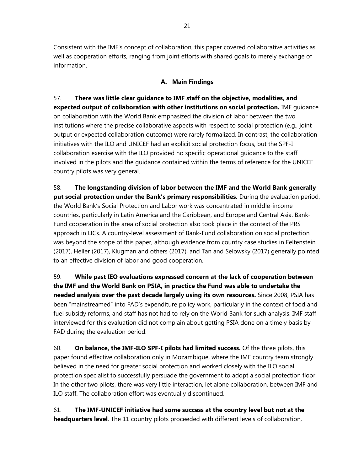Consistent with the IMF's concept of collaboration, this paper covered collaborative activities as well as cooperation efforts, ranging from joint efforts with shared goals to merely exchange of information.

# **A. Main Findings**

57. **There was little clear guidance to IMF staff on the objective, modalities, and expected output of collaboration with other institutions on social protection.** IMF guidance on collaboration with the World Bank emphasized the division of labor between the two institutions where the precise collaborative aspects with respect to social protection (e.g., joint output or expected collaboration outcome) were rarely formalized. In contrast, the collaboration initiatives with the ILO and UNICEF had an explicit social protection focus, but the SPF-I collaboration exercise with the ILO provided no specific operational guidance to the staff involved in the pilots and the guidance contained within the terms of reference for the UNICEF country pilots was very general.

58. **The longstanding division of labor between the IMF and the World Bank generally put social protection under the Bank's primary responsibilities.** During the evaluation period, the World Bank's Social Protection and Labor work was concentrated in middle-income countries, particularly in Latin America and the Caribbean, and Europe and Central Asia. Bank-Fund cooperation in the area of social protection also took place in the context of the PRS approach in LICs. A country-level assessment of Bank-Fund collaboration on social protection was beyond the scope of this paper, although evidence from country case studies in Feltenstein (2017), Heller (2017), Klugman and others (2017), and Tan and Selowsky (2017) generally pointed to an effective division of labor and good cooperation.

59. **While past IEO evaluations expressed concern at the lack of cooperation between the IMF and the World Bank on PSIA, in practice the Fund was able to undertake the needed analysis over the past decade largely using its own resources.** Since 2008, PSIA has been "mainstreamed" into FAD's expenditure policy work, particularly in the context of food and fuel subsidy reforms, and staff has not had to rely on the World Bank for such analysis. IMF staff interviewed for this evaluation did not complain about getting PSIA done on a timely basis by FAD during the evaluation period.

60. **On balance, the IMF-ILO SPF-I pilots had limited success.** Of the three pilots, this paper found effective collaboration only in Mozambique, where the IMF country team strongly believed in the need for greater social protection and worked closely with the ILO social protection specialist to successfully persuade the government to adopt a social protection floor. In the other two pilots, there was very little interaction, let alone collaboration, between IMF and ILO staff. The collaboration effort was eventually discontinued.

61. **The IMF-UNICEF initiative had some success at the country level but not at the headquarters level**. The 11 country pilots proceeded with different levels of collaboration,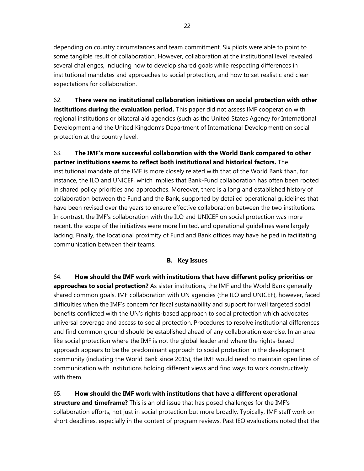depending on country circumstances and team commitment. Six pilots were able to point to some tangible result of collaboration. However, collaboration at the institutional level revealed several challenges, including how to develop shared goals while respecting differences in institutional mandates and approaches to social protection, and how to set realistic and clear expectations for collaboration.

62. **There were no institutional collaboration initiatives on social protection with other institutions during the evaluation period.** This paper did not assess IMF cooperation with regional institutions or bilateral aid agencies (such as the United States Agency for International Development and the United Kingdom's Department of International Development) on social protection at the country level.

# 63. **The IMF's more successful collaboration with the World Bank compared to other partner institutions seems to reflect both institutional and historical factors.** The institutional mandate of the IMF is more closely related with that of the World Bank than, for instance, the ILO and UNICEF, which implies that Bank-Fund collaboration has often been rooted in shared policy priorities and approaches. Moreover, there is a long and established history of collaboration between the Fund and the Bank, supported by detailed operational guidelines that have been revised over the years to ensure effective collaboration between the two institutions. In contrast, the IMF's collaboration with the ILO and UNICEF on social protection was more recent, the scope of the initiatives were more limited, and operational guidelines were largely lacking. Finally, the locational proximity of Fund and Bank offices may have helped in facilitating communication between their teams.

# **B. Key Issues**

64. **How should the IMF work with institutions that have different policy priorities or approaches to social protection?** As sister institutions, the IMF and the World Bank generally shared common goals. IMF collaboration with UN agencies (the ILO and UNICEF), however, faced difficulties when the IMF's concern for fiscal sustainability and support for well targeted social benefits conflicted with the UN's rights-based approach to social protection which advocates universal coverage and access to social protection. Procedures to resolve institutional differences and find common ground should be established ahead of any collaboration exercise. In an area like social protection where the IMF is not the global leader and where the rights-based approach appears to be the predominant approach to social protection in the development community (including the World Bank since 2015), the IMF would need to maintain open lines of communication with institutions holding different views and find ways to work constructively with them.

65. **How should the IMF work with institutions that have a different operational structure and timeframe?** This is an old issue that has posed challenges for the IMF's collaboration efforts, not just in social protection but more broadly. Typically, IMF staff work on short deadlines, especially in the context of program reviews. Past IEO evaluations noted that the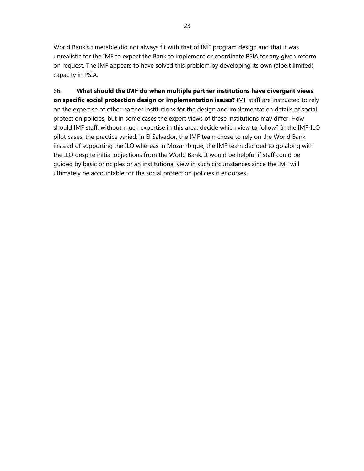World Bank's timetable did not always fit with that of IMF program design and that it was unrealistic for the IMF to expect the Bank to implement or coordinate PSIA for any given reform on request. The IMF appears to have solved this problem by developing its own (albeit limited) capacity in PSIA.

66. **What should the IMF do when multiple partner institutions have divergent views on specific social protection design or implementation issues?** IMF staff are instructed to rely on the expertise of other partner institutions for the design and implementation details of social protection policies, but in some cases the expert views of these institutions may differ. How should IMF staff, without much expertise in this area, decide which view to follow? In the IMF-ILO pilot cases, the practice varied: in El Salvador, the IMF team chose to rely on the World Bank instead of supporting the ILO whereas in Mozambique, the IMF team decided to go along with the ILO despite initial objections from the World Bank. It would be helpful if staff could be guided by basic principles or an institutional view in such circumstances since the IMF will ultimately be accountable for the social protection policies it endorses.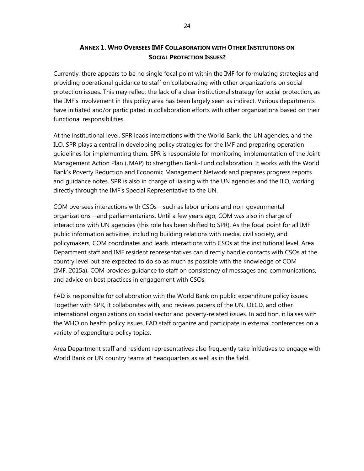# **ANNEX 1. WHO OVERSEES IMF COLLABORATION WITH OTHER INSTITUTIONS ON SOCIAL PROTECTION ISSUES?**

Currently, there appears to be no single focal point within the IMF for formulating strategies and providing operational guidance to staff on collaborating with other organizations on social protection issues. This may reflect the lack of a clear institutional strategy for social protection, as the IMF's involvement in this policy area has been largely seen as indirect. Various departments have initiated and/or participated in collaboration efforts with other organizations based on their functional responsibilities.

At the institutional level, SPR leads interactions with the World Bank, the UN agencies, and the ILO. SPR plays a central in developing policy strategies for the IMF and preparing operation guidelines for implementing them. SPR is responsible for monitoring implementation of the Joint Management Action Plan (JMAP) to strengthen Bank-Fund collaboration. It works with the World Bank's Poverty Reduction and Economic Management Network and prepares progress reports and guidance notes. SPR is also in charge of liaising with the UN agencies and the ILO, working directly through the IMF's Special Representative to the UN.

COM oversees interactions with CSOs—such as labor unions and non-governmental organizations—and parliamentarians. Until a few years ago, COM was also in charge of interactions with UN agencies (this role has been shifted to SPR). As the focal point for all IMF public information activities, including building relations with media, civil society, and policymakers, COM coordinates and leads interactions with CSOs at the institutional level. Area Department staff and IMF resident representatives can directly handle contacts with CSOs at the country level but are expected to do so as much as possible with the knowledge of COM (IMF, 2015a). COM provides guidance to staff on consistency of messages and communications, and advice on best practices in engagement with CSOs.

FAD is responsible for collaboration with the World Bank on public expenditure policy issues. Together with SPR, it collaborates with, and reviews papers of the UN, OECD, and other international organizations on social sector and poverty-related issues. In addition, it liaises with the WHO on health policy issues. FAD staff organize and participate in external conferences on a variety of expenditure policy topics.

Area Department staff and resident representatives also frequently take initiatives to engage with World Bank or UN country teams at headquarters as well as in the field.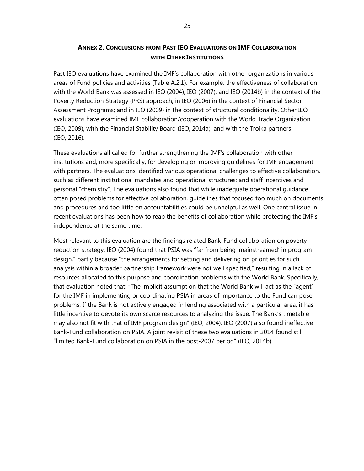### **ANNEX 2. CONCLUSIONS FROM PAST IEO EVALUATIONS ON IMF COLLABORATION WITH OTHER INSTITUTIONS**

Past IEO evaluations have examined the IMF's collaboration with other organizations in various areas of Fund policies and activities (Table A.2.1). For example, the effectiveness of collaboration with the World Bank was assessed in IEO (2004), IEO (2007), and IEO (2014b) in the context of the Poverty Reduction Strategy (PRS) approach; in IEO (2006) in the context of Financial Sector Assessment Programs; and in IEO (2009) in the context of structural conditionality. Other IEO evaluations have examined IMF collaboration/cooperation with the World Trade Organization (IEO, 2009), with the Financial Stability Board (IEO, 2014a), and with the Troika partners (IEO, 2016).

These evaluations all called for further strengthening the IMF's collaboration with other institutions and, more specifically, for developing or improving guidelines for IMF engagement with partners. The evaluations identified various operational challenges to effective collaboration, such as different institutional mandates and operational structures; and staff incentives and personal "chemistry". The evaluations also found that while inadequate operational guidance often posed problems for effective collaboration, guidelines that focused too much on documents and procedures and too little on accountabilities could be unhelpful as well. One central issue in recent evaluations has been how to reap the benefits of collaboration while protecting the IMF's independence at the same time.

Most relevant to this evaluation are the findings related Bank-Fund collaboration on poverty reduction strategy. IEO (2004) found that PSIA was "far from being 'mainstreamed' in program design," partly because "the arrangements for setting and delivering on priorities for such analysis within a broader partnership framework were not well specified," resulting in a lack of resources allocated to this purpose and coordination problems with the World Bank. Specifically, that evaluation noted that: "The implicit assumption that the World Bank will act as the "agent" for the IMF in implementing or coordinating PSIA in areas of importance to the Fund can pose problems. If the Bank is not actively engaged in lending associated with a particular area, it has little incentive to devote its own scarce resources to analyzing the issue. The Bank's timetable may also not fit with that of IMF program design" (IEO, 2004). IEO (2007) also found ineffective Bank-Fund collaboration on PSIA. A joint revisit of these two evaluations in 2014 found still "limited Bank-Fund collaboration on PSIA in the post-2007 period" (IEO, 2014b).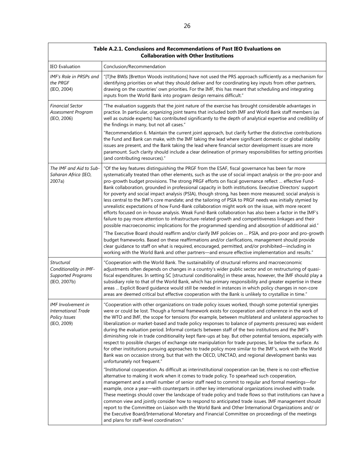| Table A.2.1. Conclusions and Recommendations of Past IEO Evaluations on<br><b>Collaboration with Other Institutions</b> |                                                                                                                                                                                                                                                                                                                                                                                                                                                                                                                                                                                                                                                                                                                                                                                                                                                                                                                                                                                                                                                                                       |  |
|-------------------------------------------------------------------------------------------------------------------------|---------------------------------------------------------------------------------------------------------------------------------------------------------------------------------------------------------------------------------------------------------------------------------------------------------------------------------------------------------------------------------------------------------------------------------------------------------------------------------------------------------------------------------------------------------------------------------------------------------------------------------------------------------------------------------------------------------------------------------------------------------------------------------------------------------------------------------------------------------------------------------------------------------------------------------------------------------------------------------------------------------------------------------------------------------------------------------------|--|
| <b>IEO Evaluation</b>                                                                                                   | Conclusion/Recommendation                                                                                                                                                                                                                                                                                                                                                                                                                                                                                                                                                                                                                                                                                                                                                                                                                                                                                                                                                                                                                                                             |  |
| IMF's Role in PRSPs and<br>the PRGF<br>(IEO, 2004)                                                                      | "[T]he BWIs [Bretton Woods institutions] have not used the PRS approach sufficiently as a mechanism for<br>identifying priorities on what they should deliver and for coordinating key inputs from other partners,<br>drawing on the countries' own priorities. For the IMF, this has meant that scheduling and integrating<br>inputs from the World Bank into program design remains difficult."                                                                                                                                                                                                                                                                                                                                                                                                                                                                                                                                                                                                                                                                                     |  |
| <b>Financial Sector</b><br>Assessment Program<br>(IEO, 2006)                                                            | "The evaluation suggests that the joint nature of the exercise has brought considerable advantages in<br>practice. In particular, organizing joint teams that included both IMF and World Bank staff members (as<br>well as outside experts) has contributed significantly to the depth of analytical expertise and credibility of<br>the findings in many, but not all cases."                                                                                                                                                                                                                                                                                                                                                                                                                                                                                                                                                                                                                                                                                                       |  |
|                                                                                                                         | Recommendation 6. Maintain the current joint approach, but clarify further the distinctive contributions"<br>the Fund and Bank can make, with the IMF taking the lead where significant domestic or global stability<br>issues are present, and the Bank taking the lead where financial sector development issues are more<br>paramount. Such clarity should include a clear delineation of primary responsibilities for setting priorities<br>(and contributing resources)."                                                                                                                                                                                                                                                                                                                                                                                                                                                                                                                                                                                                        |  |
| The IMF and Aid to Sub-<br>Saharan Africa (IEO,<br>2007a)                                                               | "Of the key features distinguishing the PRGF from the ESAF, fiscal governance has been far more<br>systematically treated than other elements, such as the use of social impact analysis or the pro-poor and<br>pro-growth budget provisions. The strong PRGF efforts on fiscal governance reflect  effective Fund-<br>Bank collaboration, grounded in professional capacity in both institutions. Executive Directors' support<br>for poverty and social impact analysis (PSIA), though strong, has been more measured; social analysis is<br>less central to the IMF's core mandate; and the tailoring of PSIA to PRGF needs was initially stymied by<br>unrealistic expectations of how Fund-Bank collaboration might work on the issue, with more recent<br>efforts focused on in-house analysis. Weak Fund-Bank collaboration has also been a factor in the IMF's<br>failure to pay more attention to infrastructure-related growth and competitiveness linkages and their<br>possible macroeconomic implications for the programmed spending and absorption of additional aid." |  |
|                                                                                                                         | "The Executive Board should reaffirm and/or clarify IMF policies on  PSIA, and pro-poor and pro-growth<br>budget frameworks. Based on these reaffirmations and/or clarifications, management should provide<br>clear guidance to staff on what is required, encouraged, permitted, and/or prohibited-including in<br>working with the World Bank and other partners-and ensure effective implementation and results."                                                                                                                                                                                                                                                                                                                                                                                                                                                                                                                                                                                                                                                                 |  |
| <b>Structural</b><br>Conditionality in IMF-<br><b>Supported Programs</b><br>(IEO, 2007b)                                | "Cooperation with the World Bank. The sustainability of structural reforms and macroeconomic<br>adjustments often depends on changes in a country's wider public sector and on restructuring of quasi-<br>fiscal expenditures. In setting SC [structural conditionality] in these areas, however, the IMF should play a<br>subsidiary role to that of the World Bank, which has primary responsibility and greater expertise in these<br>areas  Explicit Board guidance would still be needed in instances in which policy changes in non-core<br>areas are deemed critical but effective cooperation with the Bank is unlikely to crystallize in time."                                                                                                                                                                                                                                                                                                                                                                                                                              |  |
| <b>IMF</b> Involvement in<br><b>International Trade</b><br>Policy Issues<br>(IEO, 2009)                                 | "Cooperation with other organizations on trade policy issues worked, though some potential synergies<br>were or could be lost. Though a formal framework exists for cooperation and coherence in the work of<br>the WTO and IMF, the scope for tensions (for example, between multilateral and unilateral approaches to<br>liberalization or market-based and trade policy responses to balance of payments pressures) was evident<br>during the evaluation period. Informal contacts between staff of the two institutions and the IMF's<br>diminishing role in trade conditionality kept flare-ups at bay. But other potential tensions, especially with<br>respect to possible charges of exchange rate manipulation for trade purposes, lie below the surface. As<br>for other institutions pursuing approaches to trade policy more similar to the IMF's, work with the World<br>Bank was on occasion strong, but that with the OECD, UNCTAD, and regional development banks was<br>unfortunately not frequent."                                                                 |  |
|                                                                                                                         | "Institutional cooperation. As difficult as interinstitutional cooperation can be, there is no cost-effective<br>alternative to making it work when it comes to trade policy. To spearhead such cooperation,<br>management and a small number of senior staff need to commit to regular and formal meetings-for<br>example, once a year—with counterparts in other key international organizations involved with trade.<br>These meetings should cover the landscape of trade policy and trade flows so that institutions can have a<br>common view and jointly consider how to respond to anticipated trade issues. IMF management should<br>report to the Committee on Liaison with the World Bank and Other International Organizations and/ or<br>the Executive Board/International Monetary and Financial Committee on proceedings of the meetings<br>and plans for staff-level coordination."                                                                                                                                                                                   |  |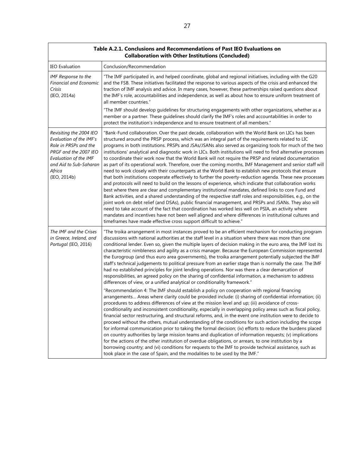| Table A.2.1. Conclusions and Recommendations of Past IEO Evaluations on<br><b>Collaboration with Other Institutions (Concluded)</b>                                               |                                                                                                                                                                                                                                                                                                                                                                                                                                                                                                                                                                                                                                                                                                                                                                                                                                                                                                                                                                                                                                                                                                                                                                                                                                                                                                                                                                                                                                                                                                                                                                                                                                                                                                                                                                                                                                                                                                                                                                                                                                                                                                                                               |  |
|-----------------------------------------------------------------------------------------------------------------------------------------------------------------------------------|-----------------------------------------------------------------------------------------------------------------------------------------------------------------------------------------------------------------------------------------------------------------------------------------------------------------------------------------------------------------------------------------------------------------------------------------------------------------------------------------------------------------------------------------------------------------------------------------------------------------------------------------------------------------------------------------------------------------------------------------------------------------------------------------------------------------------------------------------------------------------------------------------------------------------------------------------------------------------------------------------------------------------------------------------------------------------------------------------------------------------------------------------------------------------------------------------------------------------------------------------------------------------------------------------------------------------------------------------------------------------------------------------------------------------------------------------------------------------------------------------------------------------------------------------------------------------------------------------------------------------------------------------------------------------------------------------------------------------------------------------------------------------------------------------------------------------------------------------------------------------------------------------------------------------------------------------------------------------------------------------------------------------------------------------------------------------------------------------------------------------------------------------|--|
| <b>IEO Evaluation</b>                                                                                                                                                             | Conclusion/Recommendation                                                                                                                                                                                                                                                                                                                                                                                                                                                                                                                                                                                                                                                                                                                                                                                                                                                                                                                                                                                                                                                                                                                                                                                                                                                                                                                                                                                                                                                                                                                                                                                                                                                                                                                                                                                                                                                                                                                                                                                                                                                                                                                     |  |
| IMF Response to the<br><b>Financial and Economic</b><br>Crisis<br>(IEO, 2014a)                                                                                                    | "The IMF participated in, and helped coordinate, global and regional initiatives, including with the G20<br>and the FSB. These initiatives facilitated the response to various aspects of the crisis and enhanced the<br>traction of IMF analysis and advice. In many cases, however, these partnerships raised questions about<br>the IMF's role, accountabilities and independence, as well as about how to ensure uniform treatment of<br>all member countries."                                                                                                                                                                                                                                                                                                                                                                                                                                                                                                                                                                                                                                                                                                                                                                                                                                                                                                                                                                                                                                                                                                                                                                                                                                                                                                                                                                                                                                                                                                                                                                                                                                                                           |  |
|                                                                                                                                                                                   | "The IMF should develop guidelines for structuring engagements with other organizations, whether as a<br>member or a partner. These guidelines should clarify the IMF's roles and accountabilities in order to<br>protect the institution's independence and to ensure treatment of all members."                                                                                                                                                                                                                                                                                                                                                                                                                                                                                                                                                                                                                                                                                                                                                                                                                                                                                                                                                                                                                                                                                                                                                                                                                                                                                                                                                                                                                                                                                                                                                                                                                                                                                                                                                                                                                                             |  |
| Revisiting the 2004 IEO<br>Evaluation of the IMF's<br>Role in PRSPs and the<br>PRGF and the 2007 IEO<br>Evaluation of the IMF<br>and Aid to Sub-Saharan<br>Africa<br>(IEO, 2014b) | "Bank-Fund collaboration. Over the past decade, collaboration with the World Bank on LICs has been<br>structured around the PRSP process, which was an integral part of the requirements related to LIC<br>programs in both institutions. PRSPs and JSAs/JSANs also served as organizing tools for much of the two<br>institutions' analytical and diagnostic work in LICs. Both institutions will need to find alternative processes<br>to coordinate their work now that the World Bank will not require the PRSP and related documentation<br>as part of its operational work. Therefore, over the coming months, IMF Management and senior staff will<br>need to work closely with their counterparts at the World Bank to establish new protocols that ensure<br>that both institutions cooperate effectively to further the poverty-reduction agenda. These new processes<br>and protocols will need to build on the lessons of experience, which indicate that collaboration works<br>best where there are clear and complementary institutional mandates, defined links to core Fund and<br>Bank activities, and a shared understanding of the respective staff roles and responsibilities, e.g., on the<br>joint work on debt relief (and DSAs), public financial management, and PRSPs and JSANs. They also will<br>need to take account of the fact that coordination has worked less well on PSIA, an activity where<br>mandates and incentives have not been well aligned and where differences in institutional cultures and<br>timeframes have made effective cross support difficult to achieve."                                                                                                                                                                                                                                                                                                                                                                                                                                                                                                                             |  |
| The IMF and the Crises<br>in Greece, Ireland, and<br>Portugal (IEO, 2016)                                                                                                         | "The troika arrangement in most instances proved to be an efficient mechanism for conducting program<br>discussions with national authorities at the staff level in a situation where there was more than one<br>conditional lender. Even so, given the multiple layers of decision making in the euro area, the IMF lost its<br>characteristic nimbleness and agility as a crisis manager. Because the European Commission represented<br>the Eurogroup (and thus euro area governments), the troika arrangement potentially subjected the IMF<br>staff's technical judgements to political pressure from an earlier stage than is normally the case. The IMF<br>had no established principles for joint lending operations. Nor was there a clear demarcation of<br>responsibilities, an agreed policy on the sharing of confidential information, a mechanism to address<br>differences of view, or a unified analytical or conditionality framework."<br>"Recommendation 4: The IMF should establish a policy on cooperation with regional financing<br>arrangements Areas where clarity could be provided include: (i) sharing of confidential information; (ii)<br>procedures to address differences of view at the mission level and up; (iii) avoidance of cross-<br>conditionality and inconsistent conditionality, especially in overlapping policy areas such as fiscal policy,<br>financial sector restructuring, and structural reforms, and, in the event one institution were to decide to<br>proceed without the others, mutual understanding of the conditions for such action including the scope<br>for informal communication prior to taking the formal decision; (iv) efforts to reduce the burdens placed<br>on country authorities by large mission teams and duplication of information requests; (v) implications<br>for the actions of the other institution of overdue obligations, or arrears, to one institution by a<br>borrowing country; and (vi) conditions for requests to the IMF to provide technical assistance, such as<br>took place in the case of Spain, and the modalities to be used by the IMF." |  |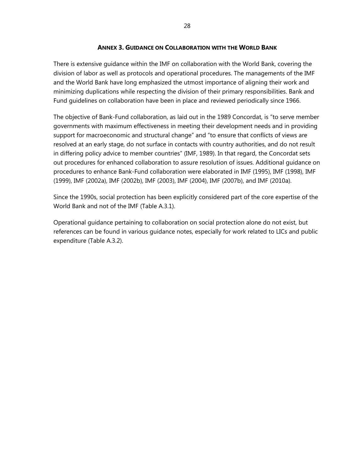#### **ANNEX 3. GUIDANCE ON COLLABORATION WITH THE WORLD BANK**

There is extensive guidance within the IMF on collaboration with the World Bank, covering the division of labor as well as protocols and operational procedures. The managements of the IMF and the World Bank have long emphasized the utmost importance of aligning their work and minimizing duplications while respecting the division of their primary responsibilities. Bank and Fund guidelines on collaboration have been in place and reviewed periodically since 1966.

The objective of Bank-Fund collaboration, as laid out in the 1989 Concordat, is "to serve member governments with maximum effectiveness in meeting their development needs and in providing support for macroeconomic and structural change" and "to ensure that conflicts of views are resolved at an early stage, do not surface in contacts with country authorities, and do not result in differing policy advice to member countries" (IMF, 1989). In that regard, the Concordat sets out procedures for enhanced collaboration to assure resolution of issues. Additional guidance on procedures to enhance Bank-Fund collaboration were elaborated in IMF (1995), IMF (1998), IMF (1999), IMF (2002a), IMF (2002b), IMF (2003), IMF (2004), IMF (2007b), and IMF (2010a).

Since the 1990s, social protection has been explicitly considered part of the core expertise of the World Bank and not of the IMF (Table A.3.1).

Operational guidance pertaining to collaboration on social protection alone do not exist, but references can be found in various guidance notes, especially for work related to LICs and public expenditure (Table A.3.2).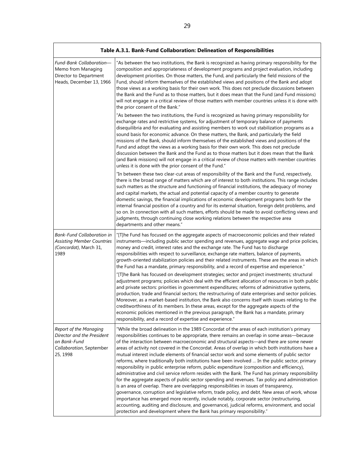| Table A.3.1. Bank-Fund Collaboration: Delineation of Responsibilities                                               |                                                                                                                                                                                                                                                                                                                                                                                                                                                                                                                                                                                                                                                                                                                                                                                                                                                                                                                                                                                                                                                                                                                                                                                                                                                                                                                                                                                     |  |
|---------------------------------------------------------------------------------------------------------------------|-------------------------------------------------------------------------------------------------------------------------------------------------------------------------------------------------------------------------------------------------------------------------------------------------------------------------------------------------------------------------------------------------------------------------------------------------------------------------------------------------------------------------------------------------------------------------------------------------------------------------------------------------------------------------------------------------------------------------------------------------------------------------------------------------------------------------------------------------------------------------------------------------------------------------------------------------------------------------------------------------------------------------------------------------------------------------------------------------------------------------------------------------------------------------------------------------------------------------------------------------------------------------------------------------------------------------------------------------------------------------------------|--|
| Fund-Bank Collaboration-<br>Memo from Managing<br>Director to Department<br>Heads, December 13, 1966                | "As between the two institutions, the Bank is recognized as having primary responsibility for the<br>composition and appropriateness of development programs and project evaluation, including<br>development priorities. On those matters, the Fund, and particularly the field missions of the<br>Fund, should inform themselves of the established views and positions of the Bank and adopt<br>those views as a working basis for their own work. This does not preclude discussions between<br>the Bank and the Fund as to those matters, but it does mean that the Fund (and Fund missions)<br>will not engage in a critical review of those matters with member countries unless it is done with<br>the prior consent of the Bank."                                                                                                                                                                                                                                                                                                                                                                                                                                                                                                                                                                                                                                          |  |
|                                                                                                                     | "As between the two institutions, the Fund is recognized as having primary responsibility for<br>exchange rates and restrictive systems, for adjustment of temporary balance of payments<br>disequilibria and for evaluating and assisting members to work out stabilization programs as a<br>sound basis for economic advance. On these matters, the Bank, and particularly the field<br>missions of the Bank, should inform themselves of the established views and positions of the<br>Fund and adopt the views as a working basis for their own work. This does not preclude<br>discussion between the Bank and the Fund as to those matters but it does mean that the Bank<br>(and Bank missions) will not engage in a critical review of chose matters with member countries<br>unless it is done with the prior consent of the Fund."                                                                                                                                                                                                                                                                                                                                                                                                                                                                                                                                        |  |
|                                                                                                                     | "In between these two clear-cut areas of responsibility of the Bank and the Fund, respectively,<br>there is the broad range of matters which are of interest to both institutions. This range includes<br>such matters as the structure and functioning of financial institutions, the adequacy of money<br>and capital markets, the actual and potential capacity of a member country to generate<br>domestic savings, the financial implications of economic development programs both for the<br>internal financial position of a country and for its external situation, foreign debt problems, and<br>so on. In connection with all such matters, efforts should be made to avoid conflicting views and<br>judgments, through continuing close working relations between the respective area<br>departments and other means."                                                                                                                                                                                                                                                                                                                                                                                                                                                                                                                                                  |  |
| <b>Bank-Fund Collaboration in</b><br><b>Assisting Member Countries</b><br>(Concordat), March 31,<br>1989            | "[T]he Fund has focused on the aggregate aspects of macroeconomic policies and their related<br>instruments—including public sector spending and revenues, aggregate wage and price policies,<br>money and credit, interest rates and the exchange rate. The Fund has to discharge<br>responsibilities with respect to surveillance, exchange rate matters, balance of payments,<br>growth-oriented stabilization policies and their related instruments. These are the areas in which<br>the Fund has a mandate, primary responsibility, and a record of expertise and experience."<br>"[T]he Bank has focused on development strategies; sector and project investments; structural<br>adjustment programs; policies which deal with the efficient allocation of resources in both public<br>and private sectors: priorities in government expenditures; reforms of administrative systems,<br>production, trade and financial sectors; the restructuring of state enterprises and sector policies.<br>Moreover, as a market-based institution, the Bank also concerns itself with issues relating to the<br>creditworthiness of its members. In these areas, except for the aggregate aspects of the<br>economic policies mentioned in the previous paragraph, the Bank has a mandate, primary<br>responsibility, and a record of expertise and experience."                     |  |
| <b>Report of the Managing</b><br>Director and the President<br>on Bank-Fund<br>Collaboration, September<br>25, 1998 | "While the broad delineation in the 1989 Concordat of the areas of each institution's primary<br>responsibilities continues to be appropriate, there remains an overlap in some areas-because<br>of the interaction between macroeconomic and structural aspects-and there are some newer<br>areas of activity not covered in the Concordat. Areas of overlap in which both institutions have a<br>mutual interest include elements of financial sector work and some elements of public sector<br>reforms, where traditionally both institutions have been involved  In the public sector, primary<br>responsibility in public enterprise reform, public expenditure (composition and efficiency),<br>administrative and civil service reform resides with the Bank. The Fund has primary responsibility<br>for the aggregate aspects of public sector spending and revenues. Tax policy and administration<br>is an area of overlap. There are overlapping responsibilities in issues of transparency,<br>governance, corruption and legislative reform, trade policy, and debt. New areas of work, whose<br>importance has emerged more recently, include notably, corporate sector (restructuring,<br>accounting, auditing and disclosure, and governance), judicial reforms, environment, and social<br>protection and development where the Bank has primary responsibility." |  |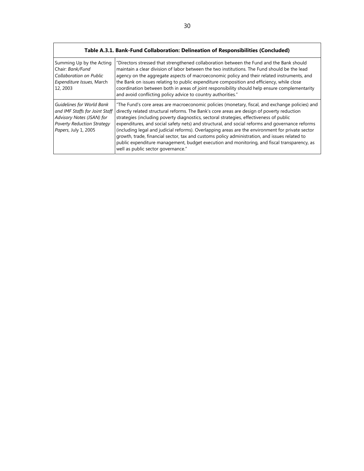| Table A.3.1. Bank-Fund Collaboration: Delineation of Responsibilities (Concluded)                                                                     |                                                                                                                                                                                                                                                                                                                                                                                                                                                                                                                                                                                                                                                                                                                                       |  |  |
|-------------------------------------------------------------------------------------------------------------------------------------------------------|---------------------------------------------------------------------------------------------------------------------------------------------------------------------------------------------------------------------------------------------------------------------------------------------------------------------------------------------------------------------------------------------------------------------------------------------------------------------------------------------------------------------------------------------------------------------------------------------------------------------------------------------------------------------------------------------------------------------------------------|--|--|
| Summing Up by the Acting<br>Chair: Bank/Fund<br>Collaboration on Public<br>Expenditure Issues, March<br>12, 2003                                      | "Directors stressed that strengthened collaboration between the Fund and the Bank should<br>maintain a clear division of labor between the two institutions. The Fund should be the lead<br>agency on the aggregate aspects of macroeconomic policy and their related instruments, and<br>the Bank on issues relating to public expenditure composition and efficiency, while close<br>coordination between both in areas of joint responsibility should help ensure complementarity<br>and avoid conflicting policy advice to country authorities."                                                                                                                                                                                  |  |  |
| Guidelines for World Bank<br>and IMF Staffs for Joint Staff<br>Advisory Notes (JSAN) for<br><b>Poverty Reduction Strategy</b><br>Papers, July 1, 2005 | "The Fund's core areas are macroeconomic policies (monetary, fiscal, and exchange policies) and<br>directly related structural reforms. The Bank's core areas are design of poverty reduction<br>strategies (including poverty diagnostics, sectoral strategies, effectiveness of public<br>expenditures, and social safety nets) and structural, and social reforms and governance reforms<br>(including legal and judicial reforms). Overlapping areas are the environment for private sector<br>growth, trade, financial sector, tax and customs policy administration, and issues related to<br>public expenditure management, budget execution and monitoring, and fiscal transparency, as<br>well as public sector governance." |  |  |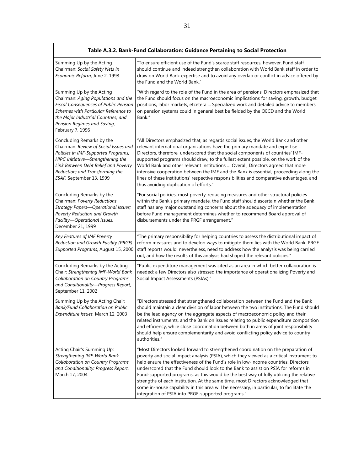| Table A.3.2. Bank-Fund Collaboration: Guidance Pertaining to Social Protection                                                                                                                                                                        |                                                                                                                                                                                                                                                                                                                                                                                                                                                                                                                                                                                                                                                                                              |  |
|-------------------------------------------------------------------------------------------------------------------------------------------------------------------------------------------------------------------------------------------------------|----------------------------------------------------------------------------------------------------------------------------------------------------------------------------------------------------------------------------------------------------------------------------------------------------------------------------------------------------------------------------------------------------------------------------------------------------------------------------------------------------------------------------------------------------------------------------------------------------------------------------------------------------------------------------------------------|--|
| Summing Up by the Acting<br>Chairman: Social Safety Nets in<br>Economic Reform, June 2, 1993                                                                                                                                                          | "To ensure efficient use of the Fund's scarce staff resources, however, Fund staff<br>should continue and indeed strengthen collaboration with World Bank staff in order to<br>draw on World Bank expertise and to avoid any overlap or conflict in advice offered by<br>the Fund and the World Bank."                                                                                                                                                                                                                                                                                                                                                                                       |  |
| Summing Up by the Acting<br>Chairman: Aging Populations and the<br><b>Fiscal Consequences of Public Pension</b><br>Schemes with Particular Reference to<br>the Major Industrial Countries; and<br>Pension Regimes and Saving,<br>February 7, 1996     | "With regard to the role of the Fund in the area of pensions, Directors emphasized that<br>the Fund should focus on the macroeconomic implications for saving, growth, budget<br>positions, labor markets, etcetera  Specialized work and detailed advice to members<br>on pension systems could in general best be fielded by the OECD and the World<br>Bank."                                                                                                                                                                                                                                                                                                                              |  |
| Concluding Remarks by the<br>Chairman: Review of Social Issues and<br>Policies in IMF-Supported Programs;<br>HIPC Initiative-Strengthening the<br>Link Between Debt Relief and Poverty<br>Reduction; and Transforming the<br>ESAF, September 13, 1999 | "All Directors emphasized that, as regards social issues, the World Bank and other<br>relevant international organizations have the primary mandate and expertise<br>Directors, therefore, underscored that the social components of countries' IMF-<br>supported programs should draw, to the fullest extent possible, on the work of the<br>World Bank and other relevant institutions  Overall, Directors agreed that more<br>intensive cooperation between the IMF and the Bank is essential, proceeding along the<br>lines of these institutions' respective responsibilities and comparative advantages, and<br>thus avoiding duplication of efforts."                                 |  |
| Concluding Remarks by the<br>Chairman: Poverty Reductions<br>Strategy Papers-Operational Issues;<br>Poverty Reduction and Growth<br>Facility-Operational Issues,<br>December 21, 1999                                                                 | "For social policies, most poverty-reducing measures and other structural policies<br>within the Bank's primary mandate, the Fund staff should ascertain whether the Bank<br>staff has any major outstanding concerns about the adequacy of implementation<br>before Fund management determines whether to recommend Board approval of<br>disbursements under the PRGF arrangement."                                                                                                                                                                                                                                                                                                         |  |
| Key Features of IMF Poverty<br>Reduction and Growth Facility (PRGF)<br>Supported Programs, August 15, 2000                                                                                                                                            | "The primary responsibility for helping countries to assess the distributional impact of<br>reform measures and to develop ways to mitigate them lies with the World Bank. PRGF<br>staff reports would, nevertheless, need to address how the analysis was being carried<br>out, and how the results of this analysis had shaped the relevant policies."                                                                                                                                                                                                                                                                                                                                     |  |
| Concluding Remarks by the Acting<br>Chair: Strengthening IMF-World Bank<br>Collaboration on Country Programs<br>and Conditionality-Progress Report,<br>September 11, 2002                                                                             | "Public expenditure management was cited as an area in which better collaboration is<br>needed; a few Directors also stressed the importance of operationalizing Poverty and<br>Social Impact Assessments (PSIAs)."                                                                                                                                                                                                                                                                                                                                                                                                                                                                          |  |
| Summing Up by the Acting Chair:<br><b>Bank/Fund Collaboration on Public</b><br>Expenditure Issues, March 12, 2003                                                                                                                                     | "Directors stressed that strengthened collaboration between the Fund and the Bank<br>should maintain a clear division of labor between the two institutions. The Fund should<br>be the lead agency on the aggregate aspects of macroeconomic policy and their<br>related instruments, and the Bank on issues relating to public expenditure composition<br>and efficiency, while close coordination between both in areas of joint responsibility<br>should help ensure complementarity and avoid conflicting policy advice to country<br>authorities."                                                                                                                                      |  |
| Acting Chair's Summing Up:<br>Strengthening IMF-World Bank<br><b>Collaboration on Country Programs</b><br>and Conditionality: Progress Report,<br>March 17, 2004                                                                                      | "Most Directors looked forward to strengthened coordination on the preparation of<br>poverty and social impact analysis (PSIA), which they viewed as a critical instrument to<br>help ensure the effectiveness of the Fund's role in low-income countries. Directors<br>underscored that the Fund should look to the Bank to assist on PSIA for reforms in<br>Fund-supported programs, as this would be the best way of fully utilizing the relative<br>strengths of each institution. At the same time, most Directors acknowledged that<br>some in-house capability in this area will be necessary, in particular, to facilitate the<br>integration of PSIA into PRGF-supported programs." |  |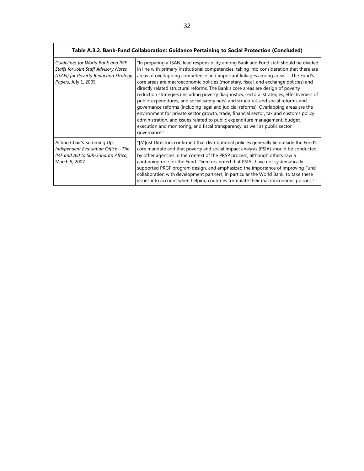| Table A.S.Z. Balik-Fullu Collaboration. Guidance Fertaming to Social Frotection (Concidueu)                                                        |                                                                                                                                                                                                                                                                                                                                                                                                                                                                                                                                                                                                                                                                                                                                                                                                                                                                                                                                                                                                      |  |
|----------------------------------------------------------------------------------------------------------------------------------------------------|------------------------------------------------------------------------------------------------------------------------------------------------------------------------------------------------------------------------------------------------------------------------------------------------------------------------------------------------------------------------------------------------------------------------------------------------------------------------------------------------------------------------------------------------------------------------------------------------------------------------------------------------------------------------------------------------------------------------------------------------------------------------------------------------------------------------------------------------------------------------------------------------------------------------------------------------------------------------------------------------------|--|
| Guidelines for World Bank and IMF<br><b>Staffs for Joint Staff Advisory Notes</b><br>(JSAN) for Poverty Reduction Strategy<br>Papers, July 1, 2005 | "In preparing a JSAN, lead responsibility among Bank and Fund staff should be divided<br>in line with primary institutional competencies, taking into consideration that there are<br>areas of overlapping competence and important linkages among areas  The Fund's<br>core areas are macroeconomic policies (monetary, fiscal, and exchange policies) and<br>directly related structural reforms. The Bank's core areas are design of poverty<br>reduction strategies (including poverty diagnostics, sectoral strategies, effectiveness of<br>public expenditures, and social safety nets) and structural, and social reforms and<br>governance reforms (including legal and judicial reforms). Overlapping areas are the<br>environment for private sector growth, trade, financial sector, tax and customs policy<br>administration, and issues related to public expenditure management, budget<br>execution and monitoring, and fiscal transparency, as well as public sector<br>governance." |  |
| Acting Chair's Summing Up:<br>Independent Evaluation Office-The<br>IMF and Aid to Sub-Saharan Africa,<br>March 5, 2007                             | "[M] ost Directors confirmed that distributional policies generally lie outside the Fund's<br>core mandate and that poverty and social impact analysis (PSIA) should be conducted<br>by other agencies in the context of the PRSP process, although others saw a<br>continuing role for the Fund. Directors noted that PSIAs have not systematically<br>supported PRGF program design, and emphasized the importance of improving Fund<br>collaboration with development partners, in particular the World Bank, to take these<br>issues into account when helping countries formulate their macroeconomic policies."                                                                                                                                                                                                                                                                                                                                                                                |  |

# **Table A.3.2. Bank-Fund Collaboration: Guidance Pertaining to Social Protection (Concluded)**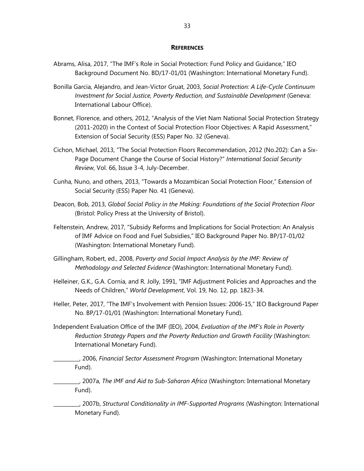#### **REFERENCES**

- Abrams, Alisa, 2017, "The IMF's Role in Social Protection: Fund Policy and Guidance," IEO Background Document No. BD/17-01/01 (Washington: International Monetary Fund).
- Bonilla Garcia, Alejandro, and Jean-Victor Gruat, 2003, *Social Protection: A Life-Cycle Continuum Investment for Social Justice, Poverty Reduction, and Sustainable Development* (Geneva: International Labour Office).
- Bonnet, Florence, and others, 2012, "Analysis of the Viet Nam National Social Protection Strategy (2011-2020) in the Context of Social Protection Floor Objectives: A Rapid Assessment," Extension of Social Security (ESS) Paper No. 32 (Geneva).
- Cichon, Michael, 2013, "The Social Protection Floors Recommendation, 2012 (No.202): Can a Six-Page Document Change the Course of Social History?" *International Social Security Review*, Vol. 66, Issue 3-4, July-December.
- Cunha, Nuno, and others, 2013, "Towards a Mozambican Social Protection Floor," Extension of Social Security (ESS) Paper No. 41 (Geneva).
- Deacon, Bob, 2013, *Global Social Policy in the Making: Foundations of the Social Protection Floor* (Bristol: Policy Press at the University of Bristol).
- Feltenstein, Andrew, 2017, "Subsidy Reforms and Implications for Social Protection: An Analysis of IMF Advice on Food and Fuel Subsidies," IEO Background Paper No. BP/17-01/02 (Washington: International Monetary Fund).
- Gillingham, Robert, ed., 2008, *Poverty and Social Impact Analysis by the IMF: Review of Methodology and Selected Evidence* (Washington: International Monetary Fund).
- Helleiner, G.K., G.A. Cornia, and R. Jolly, 1991, "IMF Adjustment Policies and Approaches and the Needs of Children," *World Development*, Vol. 19, No. 12, pp. 1823-34.
- Heller, Peter, 2017, "The IMF's Involvement with Pension Issues: 2006-15," IEO Background Paper No. BP/17-01/01 (Washington: International Monetary Fund).
- Independent Evaluation Office of the IMF (IEO), 2004, *Evaluation of the IMF's Role in Poverty Reduction Strategy Papers and the Poverty Reduction and Growth Facility* (Washington: International Monetary Fund).
	- \_\_\_\_\_\_\_\_\_\_, 2006, *Financial Sector Assessment Program* (Washington: International Monetary Fund).
		- \_\_\_\_\_\_\_\_\_\_, 2007a, *The IMF and Aid to Sub-Saharan Africa* (Washington: International Monetary Fund).
- \_\_\_\_\_\_\_\_\_\_, 2007b, *Structural Conditionality in IMF-Supported Programs* (Washington: International Monetary Fund).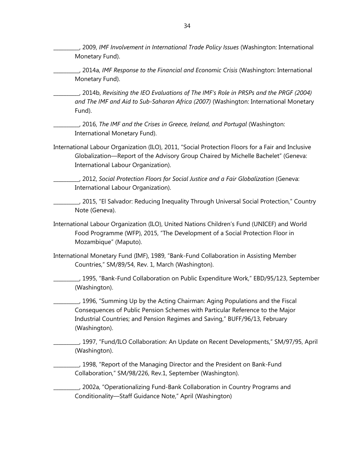\_\_\_\_\_\_\_\_\_\_, 2009, *IMF Involvement in International Trade Policy Issues* (Washington: International Monetary Fund).

\_\_\_\_\_\_\_\_\_\_, 2014a, *IMF Response to the Financial and Economic Crisis* (Washington: International Monetary Fund).

\_\_\_\_\_\_\_\_\_\_, 2014b, *Revisiting the IEO Evaluations of The IMF's Role in PRSPs and the PRGF (2004) and The IMF and Aid to Sub-Saharan Africa (2007)* (Washington: International Monetary Fund).

\_\_\_\_\_\_\_\_\_\_, 2016, *The IMF and the Crises in Greece, Ireland, and Portugal* (Washington: International Monetary Fund).

International Labour Organization (ILO), 2011, "Social Protection Floors for a Fair and Inclusive Globalization—Report of the Advisory Group Chaired by Michelle Bachelet" (Geneva: International Labour Organization).

\_\_\_\_\_\_\_\_\_\_, 2012, *Social Protection Floors for Social Justice and a Fair Globalization* (Geneva: International Labour Organization).

- \_\_\_\_\_\_\_\_\_\_, 2015, "El Salvador: Reducing Inequality Through Universal Social Protection," Country Note (Geneva).
- International Labour Organization (ILO), United Nations Children's Fund (UNICEF) and World Food Programme (WFP), 2015, "The Development of a Social Protection Floor in Mozambique" (Maputo).
- International Monetary Fund (IMF), 1989, "Bank-Fund Collaboration in Assisting Member Countries," SM/89/54, Rev. 1, March (Washington).

\_\_\_\_\_\_\_\_\_\_, 1995, "Bank-Fund Collaboration on Public Expenditure Work," EBD/95/123, September (Washington).

\_\_\_\_\_\_\_\_\_\_, 1996, "Summing Up by the Acting Chairman: Aging Populations and the Fiscal Consequences of Public Pension Schemes with Particular Reference to the Major Industrial Countries; and Pension Regimes and Saving," BUFF/96/13, February (Washington).

\_\_\_\_\_\_\_\_\_\_, 1997, "Fund/ILO Collaboration: An Update on Recent Developments," SM/97/95, April (Washington).

\_\_\_\_\_\_\_\_\_\_, 1998, "Report of the Managing Director and the President on Bank-Fund Collaboration," SM/98/226, Rev.1, September (Washington).

\_\_\_\_\_\_\_\_\_\_, 2002a, "Operationalizing Fund-Bank Collaboration in Country Programs and Conditionality—Staff Guidance Note," April (Washington)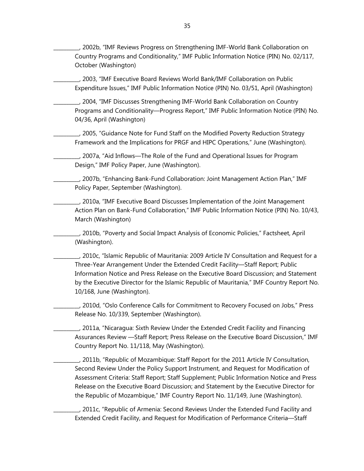\_\_\_\_\_\_\_\_\_\_, 2002b, "IMF Reviews Progress on Strengthening IMF-World Bank Collaboration on Country Programs and Conditionality," IMF Public Information Notice (PIN) No. 02/117, October (Washington)

\_\_\_\_\_\_\_\_\_\_, 2003, "IMF Executive Board Reviews World Bank/IMF Collaboration on Public Expenditure Issues," IMF Public Information Notice (PIN) No. 03/51, April (Washington)

\_\_\_\_\_\_\_\_\_\_, 2004, "IMF Discusses Strengthening IMF-World Bank Collaboration on Country Programs and Conditionality—Progress Report," IMF Public Information Notice (PIN) No. 04/36, April (Washington)

\_\_\_\_\_\_\_\_\_\_, 2005, "Guidance Note for Fund Staff on the Modified Poverty Reduction Strategy Framework and the Implications for PRGF and HIPC Operations," June (Washington).

\_\_\_\_\_\_\_\_\_\_, 2007a, "Aid Inflows—The Role of the Fund and Operational Issues for Program Design," IMF Policy Paper, June (Washington).

\_\_\_\_\_\_\_\_\_\_, 2007b, "Enhancing Bank-Fund Collaboration: Joint Management Action Plan," IMF Policy Paper, September (Washington).

\_\_\_\_\_\_\_\_\_\_, 2010a, "IMF Executive Board Discusses Implementation of the Joint Management Action Plan on Bank-Fund Collaboration," IMF Public Information Notice (PIN) No. 10/43, March (Washington)

\_\_\_\_\_\_\_\_\_\_, 2010b, "Poverty and Social Impact Analysis of Economic Policies," Factsheet, April (Washington).

\_\_\_\_\_\_\_\_\_\_, 2010c, "Islamic Republic of Mauritania: 2009 Article IV Consultation and Request for a Three-Year Arrangement Under the Extended Credit Facility—Staff Report; Public Information Notice and Press Release on the Executive Board Discussion; and Statement by the Executive Director for the Islamic Republic of Mauritania," IMF Country Report No. 10/168, June (Washington).

\_\_\_\_\_\_\_\_\_\_, 2010d, "Oslo Conference Calls for Commitment to Recovery Focused on Jobs," Press Release No. 10/339, September (Washington).

\_\_\_\_\_\_\_\_\_\_, 2011a, "Nicaragua: Sixth Review Under the Extended Credit Facility and Financing Assurances Review —Staff Report; Press Release on the Executive Board Discussion," IMF Country Report No. 11/118, May (Washington).

\_\_\_\_\_\_\_\_\_\_, 2011b, "Republic of Mozambique: Staff Report for the 2011 Article IV Consultation, Second Review Under the Policy Support Instrument, and Request for Modification of Assessment Criteria: Staff Report; Staff Supplement; Public Information Notice and Press Release on the Executive Board Discussion; and Statement by the Executive Director for the Republic of Mozambique," IMF Country Report No. 11/149, June (Washington).

\_\_\_\_\_\_\_\_\_\_, 2011c, "Republic of Armenia: Second Reviews Under the Extended Fund Facility and Extended Credit Facility, and Request for Modification of Performance Criteria—Staff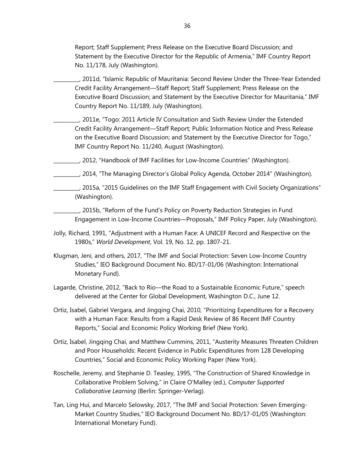Report; Staff Supplement; Press Release on the Executive Board Discussion; and Statement by the Executive Director for the Republic of Armenia," IMF Country Report No. 11/178, July (Washington).

\_\_\_\_\_\_\_\_\_\_, 2011d, "Islamic Republic of Mauritania: Second Review Under the Three-Year Extended Credit Facility Arrangement—Staff Report; Staff Supplement; Press Release on the Executive Board Discussion; and Statement by the Executive Director for Mauritania," IMF Country Report No. 11/189, July (Washington).

\_\_\_\_\_\_\_\_\_\_, 2011e, "Togo: 2011 Article IV Consultation and Sixth Review Under the Extended Credit Facility Arrangement—Staff Report; Public Information Notice and Press Release on the Executive Board Discussion; and Statement by the Executive Director for Togo," IMF Country Report No. 11/240, August (Washington).

\_\_\_\_\_\_\_\_\_\_, 2012, "Handbook of IMF Facilities for Low-Income Countries" (Washington).

\_\_\_\_\_\_\_\_\_\_, 2014, "The Managing Director's Global Policy Agenda, October 2014" (Washington).

- \_\_\_\_\_\_\_\_\_\_, 2015a, "2015 Guidelines on the IMF Staff Engagement with Civil Society Organizations" (Washington).
- \_\_\_\_\_\_\_\_\_\_, 2015b, "Reform of the Fund's Policy on Poverty Reduction Strategies in Fund Engagement in Low-Income Countries—Proposals," IMF Policy Paper, July (Washington).
- Jolly, Richard, 1991, "Adjustment with a Human Face: A UNICEF Record and Respective on the 1980s," *World Development*, Vol. 19, No. 12, pp. 1807-21.
- Klugman, Jeni, and others, 2017, "The IMF and Social Protection: Seven Low-Income Country Studies," IEO Background Document No. BD/17-01/06 (Washington: International Monetary Fund).
- Lagarde, Christine, 2012, "Back to Rio—the Road to a Sustainable Economic Future," speech delivered at the Center for Global Development, Washington D.C., June 12.
- Ortiz, Isabel, Gabriel Vergara, and Jingqing Chai, 2010, "Prioritizing Expenditures for a Recovery with a Human Face: Results from a Rapid Desk Review of 86 Recent IMF Country Reports," Social and Economic Policy Working Brief (New York).
- Ortiz, Isabel, Jingqing Chai, and Matthew Cummins, 2011, "Austerity Measures Threaten Children and Poor Households: Recent Evidence in Public Expenditures from 128 Developing Countries," Social and Economic Policy Working Paper (New York).
- Roschelle, Jeremy, and Stephanie D. Teasley, 1995, "The Construction of Shared Knowledge in Collaborative Problem Solving," in Claire O'Malley (ed.), *Computer Supported Collaborative Learning* (Berlin: Springer-Verlag).
- Tan, Ling Hui, and Marcelo Selowsky, 2017, "The IMF and Social Protection: Seven Emerging-Market Country Studies," IEO Background Document No. BD/17-01/05 (Washington: International Monetary Fund).